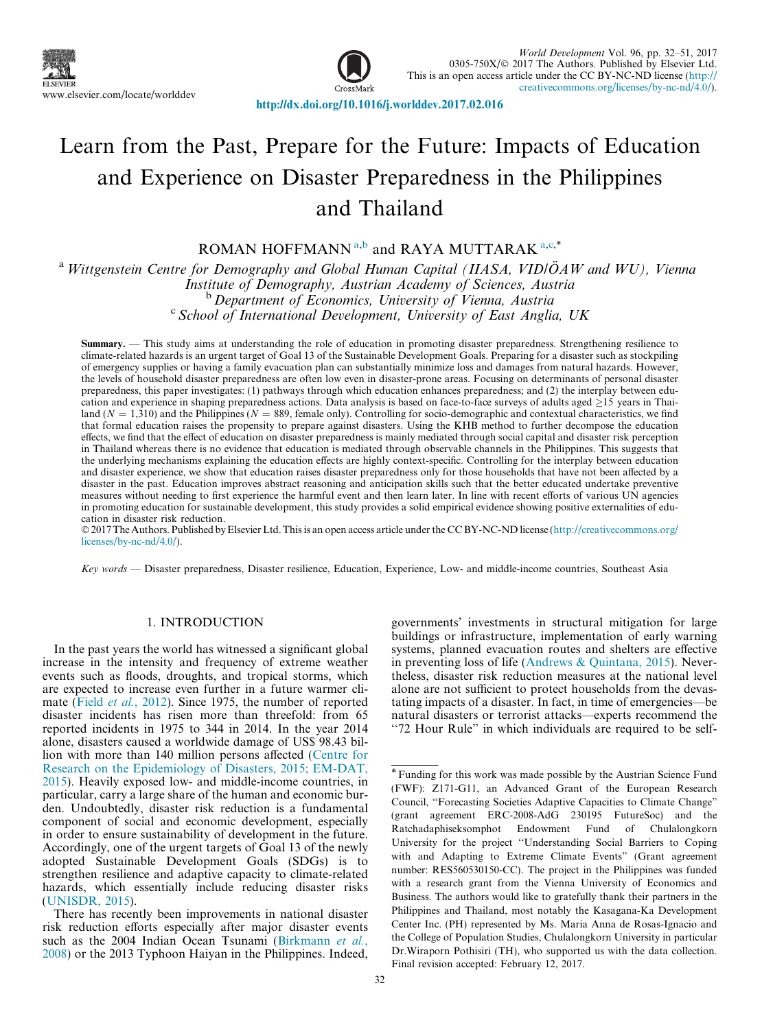

<http://dx.doi.org/10.1016/j.worlddev.2017.02.016>

# Learn from the Past, Prepare for the Future: Impacts of Education and Experience on Disaster Preparedness in the Philippines and Thailand

ROMAN HOFFMANN<sup>a,b</sup> and RAYA MUTTARAK<sup>a,c,\*</sup>

<sup>a</sup> Wittgenstein Centre for Demography and Global Human Capital (IIASA, VID/ÖAW and WU), Vienna<br>Institute of Demography, Austrian Academy of Sciences, Austria  $<sup>b</sup>$  Department of Economics, University of Vienna, Austria</sup> <sup>c</sup> School of International Development, University of East Anglia, UK

Summary. — This study aims at understanding the role of education in promoting disaster preparedness. Strengthening resilience to climate-related hazards is an urgent target of Goal 13 of the Sustainable Development Goals. Preparing for a disaster such as stockpiling of emergency supplies or having a family evacuation plan can substantially minimize loss and damages from natural hazards. However, the levels of household disaster preparedness are often low even in disaster-prone areas. Focusing on determinants of personal disaster preparedness, this paper investigates: (1) pathways through which education enhances preparedness; and (2) the interplay between education and experience in shaping preparedness actions. Data analysis is based on face-to-face surveys of adults aged  $\geq$ 15 years in Thailand  $(N = 1,310)$  and the Philippines  $(N = 889)$ , female only). Controlling for socio-demographic and contextual characteristics, we find that formal education raises the propensity to prepare against disasters. Using the KHB method to further decompose the education effects, we find that the effect of education on disaster preparedness is mainly mediated through social capital and disaster risk perception in Thailand whereas there is no evidence that education is mediated through observable channels in the Philippines. This suggests that the underlying mechanisms explaining the education effects are highly context-specific. Controlling for the interplay between education and disaster experience, we show that education raises disaster preparedness only for those households that have not been affected by a disaster in the past. Education improves abstract reasoning and anticipation skills such that the better educated undertake preventive measures without needing to first experience the harmful event and then learn later. In line with recent efforts of various UN agencies in promoting education for sustainable development, this study provides a solid empirical evidence showing positive externalities of education in disaster risk reduction.

2017The Authors. Published byElsevier Ltd.This is an open access article under the CC BY-NC-ND license ([http://creativecommons.org/](http://creativecommons.org/licenses/by-nc-nd/4.0/) [licenses/by-nc-nd/4.0/\)](http://creativecommons.org/licenses/by-nc-nd/4.0/).

Key words — Disaster preparedness, Disaster resilience, Education, Experience, Low- and middle-income countries, Southeast Asia

# 1. INTRODUCTION

In the past years the world has witnessed a significant global increase in the intensity and frequency of extreme weather events such as floods, droughts, and tropical storms, which are expected to increase even further in a future warmer climate (Field *et al.*[, 2012\)](#page-14-0). Since 1975, the number of reported disaster incidents has risen more than threefold: from 65 reported incidents in 1975 to 344 in 2014. In the year 2014 alone, disasters caused a worldwide damage of US\$ 98.43 billion with more than 140 million persons affected [\(Centre for](#page-14-0) [Research on the Epidemiology of Disasters, 2015; EM-DAT,](#page-14-0) [2015\)](#page-14-0). Heavily exposed low- and middle-income countries, in particular, carry a large share of the human and economic burden. Undoubtedly, disaster risk reduction is a fundamental component of social and economic development, especially in order to ensure sustainability of development in the future. Accordingly, one of the urgent targets of Goal 13 of the newly adopted Sustainable Development Goals (SDGs) is to strengthen resilience and adaptive capacity to climate-related hazards, which essentially include reducing disaster risks ([UNISDR, 2015](#page-16-0)).

There has recently been improvements in national disaster risk reduction efforts especially after major disaster events such as the 2004 Indian Ocean Tsunami [\(Birkmann](#page-13-0) et al., [2008\)](#page-13-0) or the 2013 Typhoon Haiyan in the Philippines. Indeed, governments' investments in structural mitigation for large buildings or infrastructure, implementation of early warning systems, planned evacuation routes and shelters are effective in preventing loss of life [\(Andrews & Quintana, 2015\)](#page-13-0). Nevertheless, disaster risk reduction measures at the national level alone are not sufficient to protect households from the devastating impacts of a disaster. In fact, in time of emergencies—be natural disasters or terrorist attacks—experts recommend the ''72 Hour Rule" in which individuals are required to be self-

<sup>\*</sup>Funding for this work was made possible by the Austrian Science Fund (FWF): Z171-G11, an Advanced Grant of the European Research Council, ''Forecasting Societies Adaptive Capacities to Climate Change" (grant agreement ERC-2008-AdG 230195 FutureSoc) and the Ratchadaphiseksomphot Endowment Fund of Chulalongkorn University for the project ''Understanding Social Barriers to Coping with and Adapting to Extreme Climate Events" (Grant agreement number: RES560530150-CC). The project in the Philippines was funded with a research grant from the Vienna University of Economics and Business. The authors would like to gratefully thank their partners in the Philippines and Thailand, most notably the Kasagana-Ka Development Center Inc. (PH) represented by Ms. Maria Anna de Rosas-Ignacio and the College of Population Studies, Chulalongkorn University in particular Dr.Wiraporn Pothisiri (TH), who supported us with the data collection. Final revision accepted: February 12, 2017.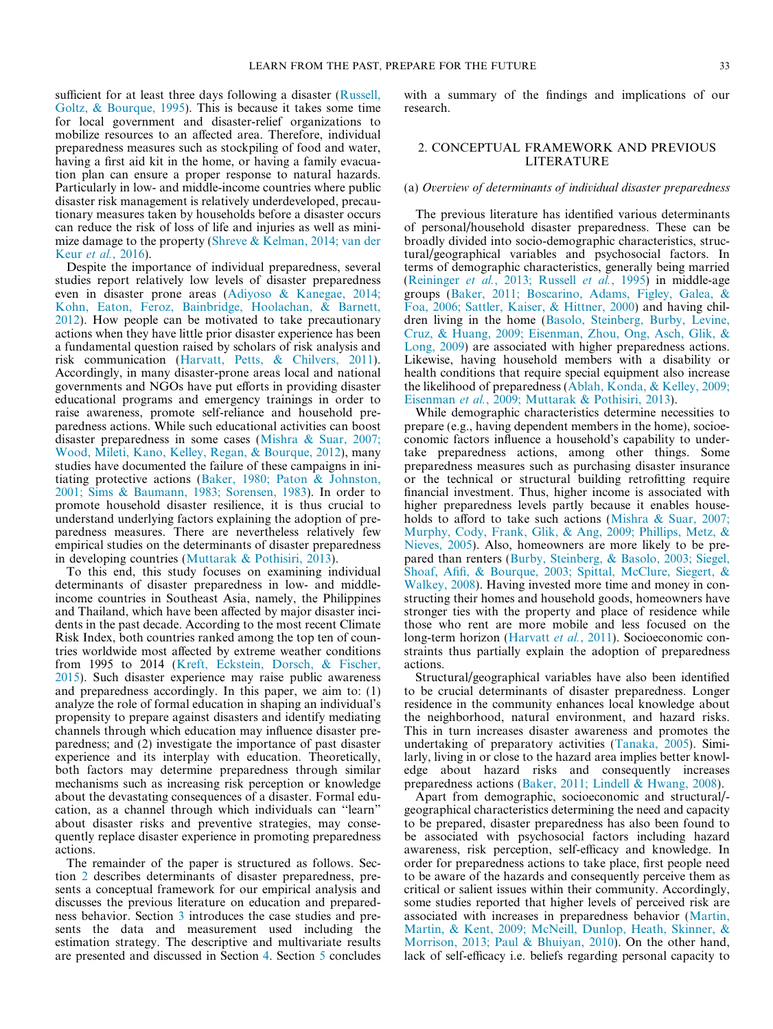sufficient for at least three days following a disaster ([Russell,](#page-15-0) [Goltz, & Bourque, 1995](#page-15-0)). This is because it takes some time for local government and disaster-relief organizations to mobilize resources to an affected area. Therefore, individual preparedness measures such as stockpiling of food and water, having a first aid kit in the home, or having a family evacuation plan can ensure a proper response to natural hazards. Particularly in low- and middle-income countries where public disaster risk management is relatively underdeveloped, precautionary measures taken by households before a disaster occurs can reduce the risk of loss of life and injuries as well as minimize damage to the property [\(Shreve & Kelman, 2014; van der](#page-15-0) Keur et al.[, 2016](#page-15-0)).

Despite the importance of individual preparedness, several studies report relatively low levels of disaster preparedness even in disaster prone areas ([Adiyoso & Kanegae, 2014;](#page-13-0) [Kohn, Eaton, Feroz, Bainbridge, Hoolachan, & Barnett,](#page-13-0) [2012](#page-13-0)). How people can be motivated to take precautionary actions when they have little prior disaster experience has been a fundamental question raised by scholars of risk analysis and risk communication ([Harvatt, Petts, & Chilvers, 2011\)](#page-14-0). Accordingly, in many disaster-prone areas local and national governments and NGOs have put efforts in providing disaster educational programs and emergency trainings in order to raise awareness, promote self-reliance and household preparedness actions. While such educational activities can boost disaster preparedness in some cases ([Mishra & Suar, 2007;](#page-15-0) [Wood, Mileti, Kano, Kelley, Regan, & Bourque, 2012\)](#page-15-0), many studies have documented the failure of these campaigns in initiating protective actions [\(Baker, 1980; Paton & Johnston,](#page-13-0) [2001; Sims & Baumann, 1983; Sorensen, 1983](#page-13-0)). In order to promote household disaster resilience, it is thus crucial to understand underlying factors explaining the adoption of preparedness measures. There are nevertheless relatively few empirical studies on the determinants of disaster preparedness in developing countries ([Muttarak & Pothisiri, 2013](#page-15-0)).

To this end, this study focuses on examining individual determinants of disaster preparedness in low- and middleincome countries in Southeast Asia, namely, the Philippines and Thailand, which have been affected by major disaster incidents in the past decade. According to the most recent Climate Risk Index, both countries ranked among the top ten of countries worldwide most affected by extreme weather conditions from 1995 to 2014 [\(Kreft, Eckstein, Dorsch, & Fischer,](#page-15-0) [2015](#page-15-0)). Such disaster experience may raise public awareness and preparedness accordingly. In this paper, we aim to: (1) analyze the role of formal education in shaping an individual's propensity to prepare against disasters and identify mediating channels through which education may influence disaster preparedness; and (2) investigate the importance of past disaster experience and its interplay with education. Theoretically, both factors may determine preparedness through similar mechanisms such as increasing risk perception or knowledge about the devastating consequences of a disaster. Formal education, as a channel through which individuals can ''learn" about disaster risks and preventive strategies, may consequently replace disaster experience in promoting preparedness actions.

The remainder of the paper is structured as follows. Section 2 describes determinants of disaster preparedness, presents a conceptual framework for our empirical analysis and discusses the previous literature on education and preparedness behavior. Section [3](#page-3-0) introduces the case studies and presents the data and measurement used including the estimation strategy. The descriptive and multivariate results are presented and discussed in Section [4](#page-6-0). Section [5](#page-10-0) concludes with a summary of the findings and implications of our research.

## 2. CONCEPTUAL FRAMEWORK AND PREVIOUS LITERATURE

## (a) Overview of determinants of individual disaster preparedness

The previous literature has identified various determinants of personal/household disaster preparedness. These can be broadly divided into socio-demographic characteristics, structural/geographical variables and psychosocial factors. In terms of demographic characteristics, generally being married (Reininger et al.[, 2013; Russell](#page-15-0) et al., 1995) in middle-age groups ([Baker, 2011; Boscarino, Adams, Figley, Galea, &](#page-13-0) [Foa, 2006; Sattler, Kaiser, & Hittner, 2000](#page-13-0)) and having children living in the home ([Basolo, Steinberg, Burby, Levine,](#page-13-0) [Cruz, & Huang, 2009; Eisenman, Zhou, Ong, Asch, Glik, &](#page-13-0) [Long, 2009\)](#page-13-0) are associated with higher preparedness actions. Likewise, having household members with a disability or health conditions that require special equipment also increase the likelihood of preparedness ([Ablah, Konda, & Kelley, 2009;](#page-13-0) Eisenman et al.[, 2009; Muttarak & Pothisiri, 2013\)](#page-13-0).

While demographic characteristics determine necessities to prepare (e.g., having dependent members in the home), socioeconomic factors influence a household's capability to undertake preparedness actions, among other things. Some preparedness measures such as purchasing disaster insurance or the technical or structural building retrofitting require financial investment. Thus, higher income is associated with higher preparedness levels partly because it enables households to afford to take such actions ([Mishra & Suar, 2007;](#page-15-0) [Murphy, Cody, Frank, Glik, & Ang, 2009; Phillips, Metz, &](#page-15-0) [Nieves, 2005\)](#page-15-0). Also, homeowners are more likely to be prepared than renters [\(Burby, Steinberg, & Basolo, 2003; Siegel,](#page-14-0) [Shoaf, Afifi, & Bourque, 2003; Spittal, McClure, Siegert, &](#page-14-0) [Walkey, 2008](#page-14-0)). Having invested more time and money in constructing their homes and household goods, homeowners have stronger ties with the property and place of residence while those who rent are more mobile and less focused on the long-term horizon ([Harvatt](#page-14-0) et al., 2011). Socioeconomic constraints thus partially explain the adoption of preparedness actions.

Structural/geographical variables have also been identified to be crucial determinants of disaster preparedness. Longer residence in the community enhances local knowledge about the neighborhood, natural environment, and hazard risks. This in turn increases disaster awareness and promotes the undertaking of preparatory activities ([Tanaka, 2005\)](#page-16-0). Similarly, living in or close to the hazard area implies better knowledge about hazard risks and consequently increases preparedness actions [\(Baker, 2011; Lindell & Hwang, 2008\)](#page-13-0).

Apart from demographic, socioeconomic and structural/ geographical characteristics determining the need and capacity to be prepared, disaster preparedness has also been found to be associated with psychosocial factors including hazard awareness, risk perception, self-efficacy and knowledge. In order for preparedness actions to take place, first people need to be aware of the hazards and consequently perceive them as critical or salient issues within their community. Accordingly, some studies reported that higher levels of perceived risk are associated with increases in preparedness behavior [\(Martin,](#page-15-0) [Martin, & Kent, 2009; McNeill, Dunlop, Heath, Skinner, &](#page-15-0) [Morrison, 2013; Paul & Bhuiyan, 2010](#page-15-0)). On the other hand, lack of self-efficacy i.e. beliefs regarding personal capacity to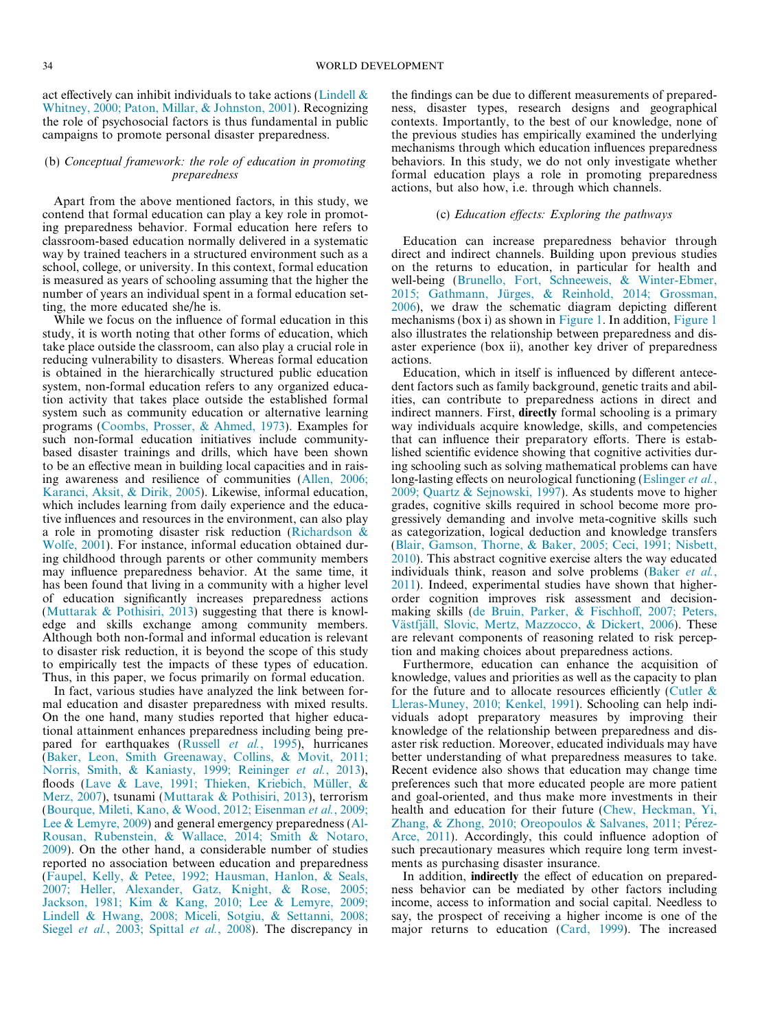act effectively can inhibit individuals to take actions ([Lindell &](#page-15-0) [Whitney, 2000; Paton, Millar, & Johnston, 2001\)](#page-15-0). Recognizing the role of psychosocial factors is thus fundamental in public campaigns to promote personal disaster preparedness.

## (b) Conceptual framework: the role of education in promoting preparedness

Apart from the above mentioned factors, in this study, we contend that formal education can play a key role in promoting preparedness behavior. Formal education here refers to classroom-based education normally delivered in a systematic way by trained teachers in a structured environment such as a school, college, or university. In this context, formal education is measured as years of schooling assuming that the higher the number of years an individual spent in a formal education setting, the more educated she/he is.

While we focus on the influence of formal education in this study, it is worth noting that other forms of education, which take place outside the classroom, can also play a crucial role in reducing vulnerability to disasters. Whereas formal education is obtained in the hierarchically structured public education system, non-formal education refers to any organized education activity that takes place outside the established formal system such as community education or alternative learning programs [\(Coombs, Prosser, & Ahmed, 1973\)](#page-14-0). Examples for such non-formal education initiatives include communitybased disaster trainings and drills, which have been shown to be an effective mean in building local capacities and in raising awareness and resilience of communities ([Allen, 2006;](#page-13-0) [Karanci, Aksit, & Dirik, 2005](#page-13-0)). Likewise, informal education, which includes learning from daily experience and the educative influences and resources in the environment, can also play a role in promoting disaster risk reduction ([Richardson &](#page-15-0) [Wolfe, 2001\)](#page-15-0). For instance, informal education obtained during childhood through parents or other community members may influence preparedness behavior. At the same time, it has been found that living in a community with a higher level of education significantly increases preparedness actions ([Muttarak & Pothisiri, 2013](#page-15-0)) suggesting that there is knowledge and skills exchange among community members. Although both non-formal and informal education is relevant to disaster risk reduction, it is beyond the scope of this study to empirically test the impacts of these types of education. Thus, in this paper, we focus primarily on formal education.

In fact, various studies have analyzed the link between formal education and disaster preparedness with mixed results. On the one hand, many studies reported that higher educational attainment enhances preparedness including being pre-pared for earthquakes ([Russell](#page-15-0) et al., 1995), hurricanes ([Baker, Leon, Smith Greenaway, Collins, & Movit, 2011;](#page-13-0) [Norris, Smith, & Kaniasty, 1999; Reininger](#page-13-0) et al., 2013), floods (Lave & Lave, 1991; Thieken, Kriebich, Müller, & [Merz, 2007\)](#page-15-0), tsunami ([Muttarak & Pothisiri, 2013](#page-15-0)), terrorism ([Bourque, Mileti, Kano, & Wood, 2012; Eisenman](#page-13-0) et al., 2009; [Lee & Lemyre, 2009\)](#page-13-0) and general emergency preparedness ([Al-](#page-13-0)[Rousan, Rubenstein, & Wallace, 2014; Smith & Notaro,](#page-13-0) [2009\)](#page-13-0). On the other hand, a considerable number of studies reported no association between education and preparedness ([Faupel, Kelly, & Petee, 1992; Hausman, Hanlon, & Seals,](#page-14-0) [2007; Heller, Alexander, Gatz, Knight, & Rose, 2005;](#page-14-0) [Jackson, 1981; Kim & Kang, 2010; Lee & Lemyre, 2009;](#page-14-0) [Lindell & Hwang, 2008; Miceli, Sotgiu, & Settanni, 2008;](#page-14-0) Siegel et al.[, 2003; Spittal](#page-14-0) et al., 2008). The discrepancy in

the findings can be due to different measurements of preparedness, disaster types, research designs and geographical contexts. Importantly, to the best of our knowledge, none of the previous studies has empirically examined the underlying mechanisms through which education influences preparedness behaviors. In this study, we do not only investigate whether formal education plays a role in promoting preparedness actions, but also how, i.e. through which channels.

#### (c) Education effects: Exploring the pathways

Education can increase preparedness behavior through direct and indirect channels. Building upon previous studies on the returns to education, in particular for health and well-being [\(Brunello, Fort, Schneeweis, & Winter-Ebmer,](#page-14-0) 2015; Gathmann, Jürges, & Reinhold, 2014; Grossman, [2006\)](#page-14-0), we draw the schematic diagram depicting different mechanisms (box i) as shown in [Figure 1](#page-3-0). In addition, [Figure 1](#page-3-0) also illustrates the relationship between preparedness and disaster experience (box ii), another key driver of preparedness actions.

Education, which in itself is influenced by different antecedent factors such as family background, genetic traits and abilities, can contribute to preparedness actions in direct and indirect manners. First, directly formal schooling is a primary way individuals acquire knowledge, skills, and competencies that can influence their preparatory efforts. There is established scientific evidence showing that cognitive activities during schooling such as solving mathematical problems can have long-lasting effects on neurological functioning [\(Eslinger](#page-14-0) et al., [2009; Quartz & Sejnowski, 1997](#page-14-0)). As students move to higher grades, cognitive skills required in school become more progressively demanding and involve meta-cognitive skills such as categorization, logical deduction and knowledge transfers ([Blair, Gamson, Thorne, & Baker, 2005; Ceci, 1991; Nisbett,](#page-13-0) [2010\)](#page-13-0). This abstract cognitive exercise alters the way educated individuals think, reason and solve problems ([Baker](#page-13-0) *et al.*, [2011\)](#page-13-0). Indeed, experimental studies have shown that higherorder cognition improves risk assessment and decisionmaking skills ([de Bruin, Parker, & Fischhoff, 2007; Peters,](#page-14-0) Västfjäll, Slovic, Mertz, Mazzocco, & Dickert, 2006). These are relevant components of reasoning related to risk perception and making choices about preparedness actions.

Furthermore, education can enhance the acquisition of knowledge, values and priorities as well as the capacity to plan for the future and to allocate resources efficiently (Cutler  $\&$ [Lleras-Muney, 2010; Kenkel, 1991](#page-14-0)). Schooling can help individuals adopt preparatory measures by improving their knowledge of the relationship between preparedness and disaster risk reduction. Moreover, educated individuals may have better understanding of what preparedness measures to take. Recent evidence also shows that education may change time preferences such that more educated people are more patient and goal-oriented, and thus make more investments in their health and education for their future ([Chew, Heckman, Yi,](#page-14-0) Zhang, & Zhong, 2010; Oreopoulos & Salvanes, 2011; Pérez-[Arce, 2011](#page-14-0)). Accordingly, this could influence adoption of such precautionary measures which require long term investments as purchasing disaster insurance.

In addition, indirectly the effect of education on preparedness behavior can be mediated by other factors including income, access to information and social capital. Needless to say, the prospect of receiving a higher income is one of the major returns to education [\(Card, 1999\)](#page-14-0). The increased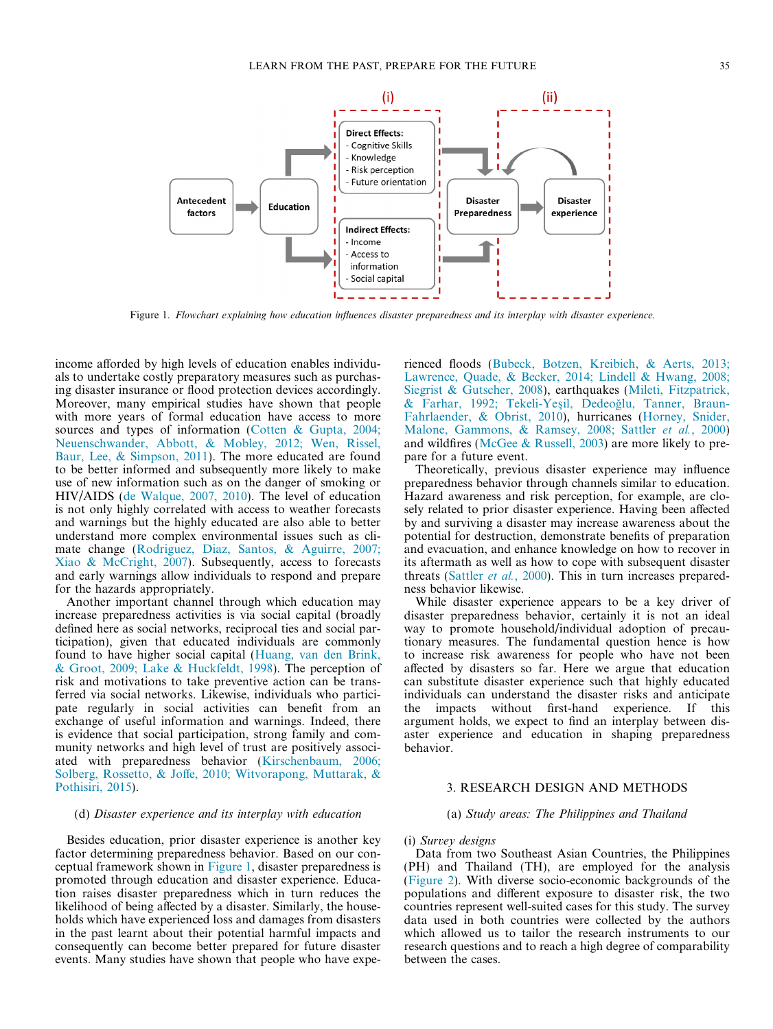<span id="page-3-0"></span>

Figure 1. Flowchart explaining how education influences disaster preparedness and its interplay with disaster experience.

income afforded by high levels of education enables individuals to undertake costly preparatory measures such as purchasing disaster insurance or flood protection devices accordingly. Moreover, many empirical studies have shown that people with more years of formal education have access to more sources and types of information [\(Cotten & Gupta, 2004;](#page-14-0) [Neuenschwander, Abbott, & Mobley, 2012; Wen, Rissel,](#page-14-0) [Baur, Lee, & Simpson, 2011](#page-14-0)). The more educated are found to be better informed and subsequently more likely to make use of new information such as on the danger of smoking or HIV/AIDS [\(de Walque, 2007, 2010](#page-14-0)). The level of education is not only highly correlated with access to weather forecasts and warnings but the highly educated are also able to better understand more complex environmental issues such as climate change [\(Rodriguez, Diaz, Santos, & Aguirre, 2007;](#page-15-0) [Xiao & McCright, 2007\)](#page-15-0). Subsequently, access to forecasts and early warnings allow individuals to respond and prepare for the hazards appropriately.

Another important channel through which education may increase preparedness activities is via social capital (broadly defined here as social networks, reciprocal ties and social participation), given that educated individuals are commonly found to have higher social capital [\(Huang, van den Brink,](#page-14-0) [& Groot, 2009; Lake & Huckfeldt, 1998](#page-14-0)). The perception of risk and motivations to take preventive action can be transferred via social networks. Likewise, individuals who participate regularly in social activities can benefit from an exchange of useful information and warnings. Indeed, there is evidence that social participation, strong family and community networks and high level of trust are positively associated with preparedness behavior ([Kirschenbaum, 2006;](#page-15-0) [Solberg, Rossetto, & Joffe, 2010; Witvorapong, Muttarak, &](#page-15-0) [Pothisiri, 2015](#page-15-0)).

#### (d) Disaster experience and its interplay with education

Besides education, prior disaster experience is another key factor determining preparedness behavior. Based on our conceptual framework shown in Figure 1, disaster preparedness is promoted through education and disaster experience. Education raises disaster preparedness which in turn reduces the likelihood of being affected by a disaster. Similarly, the households which have experienced loss and damages from disasters in the past learnt about their potential harmful impacts and consequently can become better prepared for future disaster events. Many studies have shown that people who have experienced floods ([Bubeck, Botzen, Kreibich, & Aerts, 2013;](#page-14-0) [Lawrence, Quade, & Becker, 2014; Lindell & Hwang, 2008;](#page-14-0) [Siegrist & Gutscher, 2008\)](#page-14-0), earthquakes [\(Mileti, Fitzpatrick,](#page-15-0) [& Farhar, 1992; Tekeli-Ye](#page-15-0)sil, Dedeoǧ[lu, Tanner, Braun-](#page-15-0)[Fahrlaender, & Obrist, 2010\)](#page-15-0), hurricanes [\(Horney, Snider,](#page-14-0) [Malone, Gammons, & Ramsey, 2008; Sattler](#page-14-0) et al., 2000) and wildfires [\(McGee & Russell, 2003](#page-15-0)) are more likely to prepare for a future event.

Theoretically, previous disaster experience may influence preparedness behavior through channels similar to education. Hazard awareness and risk perception, for example, are closely related to prior disaster experience. Having been affected by and surviving a disaster may increase awareness about the potential for destruction, demonstrate benefits of preparation and evacuation, and enhance knowledge on how to recover in its aftermath as well as how to cope with subsequent disaster threats ([Sattler](#page-15-0) et al., 2000). This in turn increases preparedness behavior likewise.

While disaster experience appears to be a key driver of disaster preparedness behavior, certainly it is not an ideal way to promote household/individual adoption of precautionary measures. The fundamental question hence is how to increase risk awareness for people who have not been affected by disasters so far. Here we argue that education can substitute disaster experience such that highly educated individuals can understand the disaster risks and anticipate the impacts without first-hand experience. If this argument holds, we expect to find an interplay between disaster experience and education in shaping preparedness behavior.

## 3. RESEARCH DESIGN AND METHODS

#### (a) Study areas: The Philippines and Thailand

#### (i) Survey designs

Data from two Southeast Asian Countries, the Philippines (PH) and Thailand (TH), are employed for the analysis ([Figure 2\)](#page-4-0). With diverse socio-economic backgrounds of the populations and different exposure to disaster risk, the two countries represent well-suited cases for this study. The survey data used in both countries were collected by the authors which allowed us to tailor the research instruments to our research questions and to reach a high degree of comparability between the cases.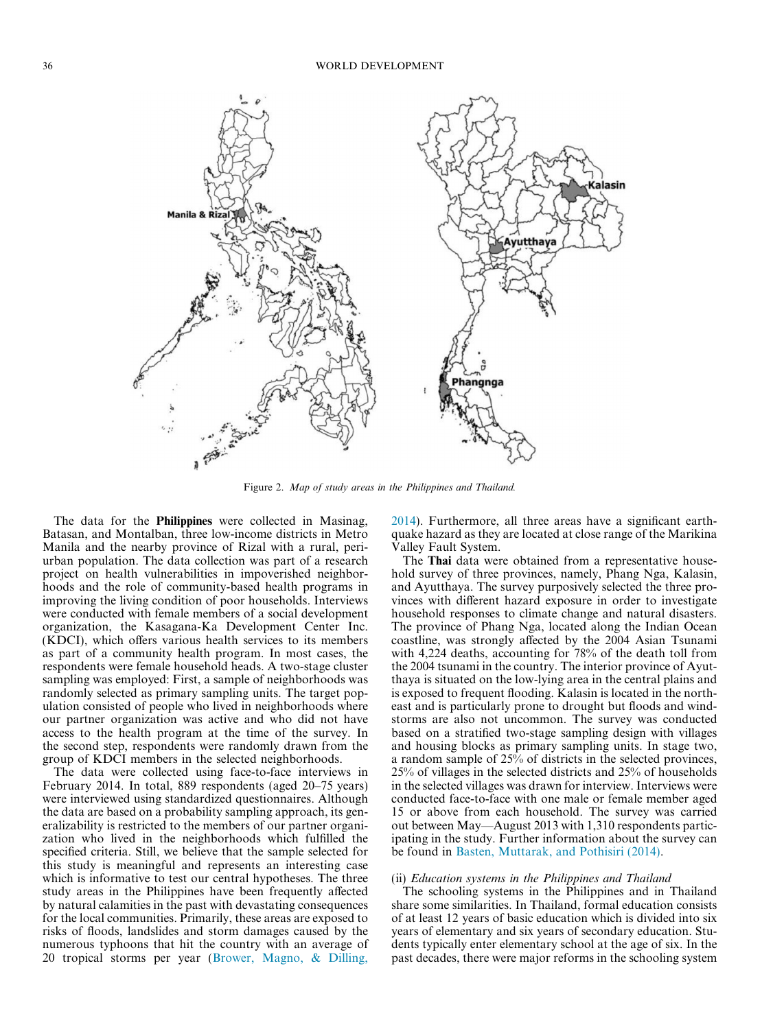<span id="page-4-0"></span>

Figure 2. Map of study areas in the Philippines and Thailand.

The data for the **Philippines** were collected in Masinag, Batasan, and Montalban, three low-income districts in Metro Manila and the nearby province of Rizal with a rural, periurban population. The data collection was part of a research project on health vulnerabilities in impoverished neighborhoods and the role of community-based health programs in improving the living condition of poor households. Interviews were conducted with female members of a social development organization, the Kasagana-Ka Development Center Inc. (KDCI), which offers various health services to its members as part of a community health program. In most cases, the respondents were female household heads. A two-stage cluster sampling was employed: First, a sample of neighborhoods was randomly selected as primary sampling units. The target population consisted of people who lived in neighborhoods where our partner organization was active and who did not have access to the health program at the time of the survey. In the second step, respondents were randomly drawn from the group of KDCI members in the selected neighborhoods.

The data were collected using face-to-face interviews in February 2014. In total, 889 respondents (aged 20–75 years) were interviewed using standardized questionnaires. Although the data are based on a probability sampling approach, its generalizability is restricted to the members of our partner organization who lived in the neighborhoods which fulfilled the specified criteria. Still, we believe that the sample selected for this study is meaningful and represents an interesting case which is informative to test our central hypotheses. The three study areas in the Philippines have been frequently affected by natural calamities in the past with devastating consequences for the local communities. Primarily, these areas are exposed to risks of floods, landslides and storm damages caused by the numerous typhoons that hit the country with an average of 20 tropical storms per year ([Brower, Magno, & Dilling,](#page-13-0) [2014\)](#page-13-0). Furthermore, all three areas have a significant earthquake hazard as they are located at close range of the Marikina Valley Fault System.

The Thai data were obtained from a representative household survey of three provinces, namely, Phang Nga, Kalasin, and Ayutthaya. The survey purposively selected the three provinces with different hazard exposure in order to investigate household responses to climate change and natural disasters. The province of Phang Nga, located along the Indian Ocean coastline, was strongly affected by the 2004 Asian Tsunami with 4,224 deaths, accounting for 78% of the death toll from the 2004 tsunami in the country. The interior province of Ayutthaya is situated on the low-lying area in the central plains and is exposed to frequent flooding. Kalasin is located in the northeast and is particularly prone to drought but floods and windstorms are also not uncommon. The survey was conducted based on a stratified two-stage sampling design with villages and housing blocks as primary sampling units. In stage two, a random sample of 25% of districts in the selected provinces, 25% of villages in the selected districts and 25% of households in the selected villages was drawn for interview. Interviews were conducted face-to-face with one male or female member aged 15 or above from each household. The survey was carried out between May—August 2013 with 1,310 respondents participating in the study. Further information about the survey can be found in [Basten, Muttarak, and Pothisiri \(2014\).](#page-13-0)

#### (ii) Education systems in the Philippines and Thailand

The schooling systems in the Philippines and in Thailand share some similarities. In Thailand, formal education consists of at least 12 years of basic education which is divided into six years of elementary and six years of secondary education. Students typically enter elementary school at the age of six. In the past decades, there were major reforms in the schooling system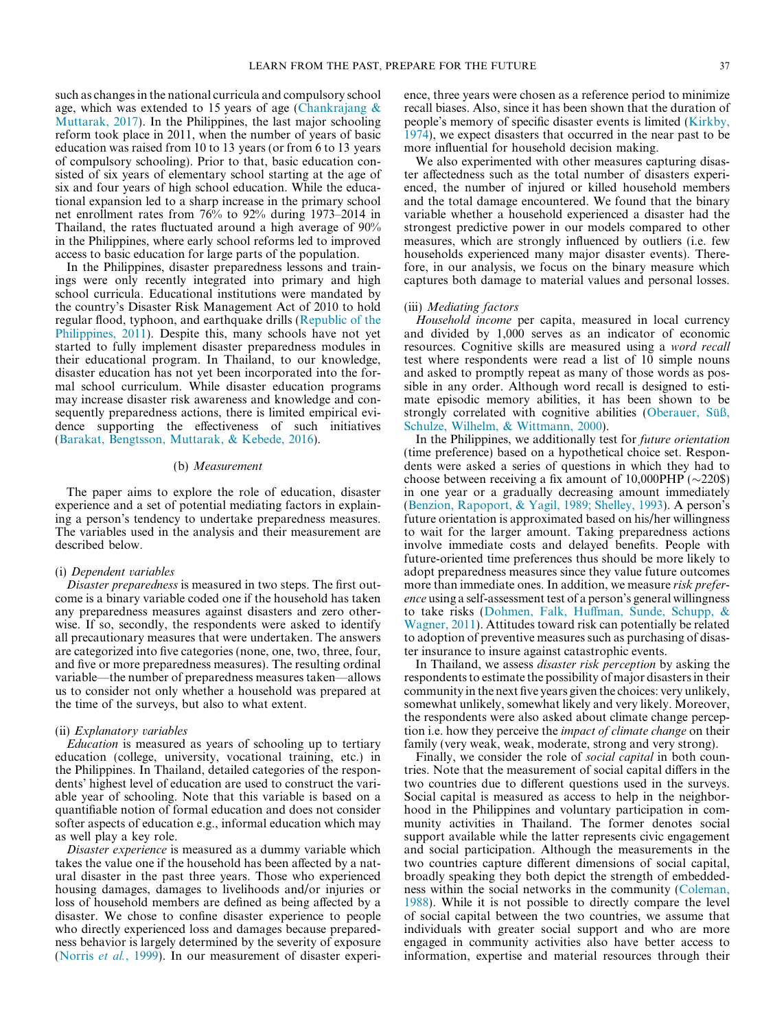such as changes in the national curricula and compulsory school age, which was extended to 15 years of age ([Chankrajang &](#page-14-0) [Muttarak, 2017\)](#page-14-0). In the Philippines, the last major schooling reform took place in 2011, when the number of years of basic education was raised from 10 to 13 years (or from 6 to 13 years of compulsory schooling). Prior to that, basic education consisted of six years of elementary school starting at the age of six and four years of high school education. While the educational expansion led to a sharp increase in the primary school net enrollment rates from 76% to 92% during 1973–2014 in Thailand, the rates fluctuated around a high average of 90% in the Philippines, where early school reforms led to improved access to basic education for large parts of the population.

In the Philippines, disaster preparedness lessons and trainings were only recently integrated into primary and high school curricula. Educational institutions were mandated by the country's Disaster Risk Management Act of 2010 to hold regular flood, typhoon, and earthquake drills [\(Republic of the](#page-15-0) [Philippines, 2011\)](#page-15-0). Despite this, many schools have not yet started to fully implement disaster preparedness modules in their educational program. In Thailand, to our knowledge, disaster education has not yet been incorporated into the formal school curriculum. While disaster education programs may increase disaster risk awareness and knowledge and consequently preparedness actions, there is limited empirical evidence supporting the effectiveness of such initiatives ([Barakat, Bengtsson, Muttarak, & Kebede, 2016\)](#page-13-0).

### (b) Measurement

The paper aims to explore the role of education, disaster experience and a set of potential mediating factors in explaining a person's tendency to undertake preparedness measures. The variables used in the analysis and their measurement are described below.

#### (i) Dependent variables

Disaster preparedness is measured in two steps. The first outcome is a binary variable coded one if the household has taken any preparedness measures against disasters and zero otherwise. If so, secondly, the respondents were asked to identify all precautionary measures that were undertaken. The answers are categorized into five categories (none, one, two, three, four, and five or more preparedness measures). The resulting ordinal variable—the number of preparedness measures taken—allows us to consider not only whether a household was prepared at the time of the surveys, but also to what extent.

#### (ii) Explanatory variables

Education is measured as years of schooling up to tertiary education (college, university, vocational training, etc.) in the Philippines. In Thailand, detailed categories of the respondents' highest level of education are used to construct the variable year of schooling. Note that this variable is based on a quantifiable notion of formal education and does not consider softer aspects of education e.g., informal education which may as well play a key role.

Disaster experience is measured as a dummy variable which takes the value one if the household has been affected by a natural disaster in the past three years. Those who experienced housing damages, damages to livelihoods and/or injuries or loss of household members are defined as being affected by a disaster. We chose to confine disaster experience to people who directly experienced loss and damages because preparedness behavior is largely determined by the severity of exposure ([Norris](#page-15-0) et al., 1999). In our measurement of disaster experience, three years were chosen as a reference period to minimize recall biases. Also, since it has been shown that the duration of people's memory of specific disaster events is limited ([Kirkby,](#page-14-0) [1974](#page-14-0)), we expect disasters that occurred in the near past to be more influential for household decision making.

We also experimented with other measures capturing disaster affectedness such as the total number of disasters experienced, the number of injured or killed household members and the total damage encountered. We found that the binary variable whether a household experienced a disaster had the strongest predictive power in our models compared to other measures, which are strongly influenced by outliers (i.e. few households experienced many major disaster events). Therefore, in our analysis, we focus on the binary measure which captures both damage to material values and personal losses.

#### (iii) Mediating factors

Household income per capita, measured in local currency and divided by 1,000 serves as an indicator of economic resources. Cognitive skills are measured using a word recall test where respondents were read a list of 10 simple nouns and asked to promptly repeat as many of those words as possible in any order. Although word recall is designed to estimate episodic memory abilities, it has been shown to be strongly correlated with cognitive abilities (Oberauer, Süß, [Schulze, Wilhelm, & Wittmann, 2000](#page-15-0)).

In the Philippines, we additionally test for future orientation (time preference) based on a hypothetical choice set. Respondents were asked a series of questions in which they had to choose between receiving a fix amount of 10,000PHP ( $\sim$ 220\$) in one year or a gradually decreasing amount immediately ([Benzion, Rapoport, & Yagil, 1989; Shelley, 1993](#page-13-0)). A person's future orientation is approximated based on his/her willingness to wait for the larger amount. Taking preparedness actions involve immediate costs and delayed benefits. People with future-oriented time preferences thus should be more likely to adopt preparedness measures since they value future outcomes more than immediate ones. In addition, we measure *risk prefer*ence using a self-assessment test of a person's general willingness to take risks [\(Dohmen, Falk, Huffman, Sunde, Schupp, &](#page-14-0) [Wagner, 2011\)](#page-14-0). Attitudes toward risk can potentially be related to adoption of preventive measures such as purchasing of disaster insurance to insure against catastrophic events.

In Thailand, we assess disaster risk perception by asking the respondents to estimate the possibility of major disasters in their community in the next five years given the choices: very unlikely, somewhat unlikely, somewhat likely and very likely. Moreover, the respondents were also asked about climate change perception i.e. how they perceive the impact of climate change on their family (very weak, weak, moderate, strong and very strong).

Finally, we consider the role of *social capital* in both countries. Note that the measurement of social capital differs in the two countries due to different questions used in the surveys. Social capital is measured as access to help in the neighborhood in the Philippines and voluntary participation in community activities in Thailand. The former denotes social support available while the latter represents civic engagement and social participation. Although the measurements in the two countries capture different dimensions of social capital, broadly speaking they both depict the strength of embeddedness within the social networks in the community ([Coleman,](#page-14-0) [1988](#page-14-0)). While it is not possible to directly compare the level of social capital between the two countries, we assume that individuals with greater social support and who are more engaged in community activities also have better access to information, expertise and material resources through their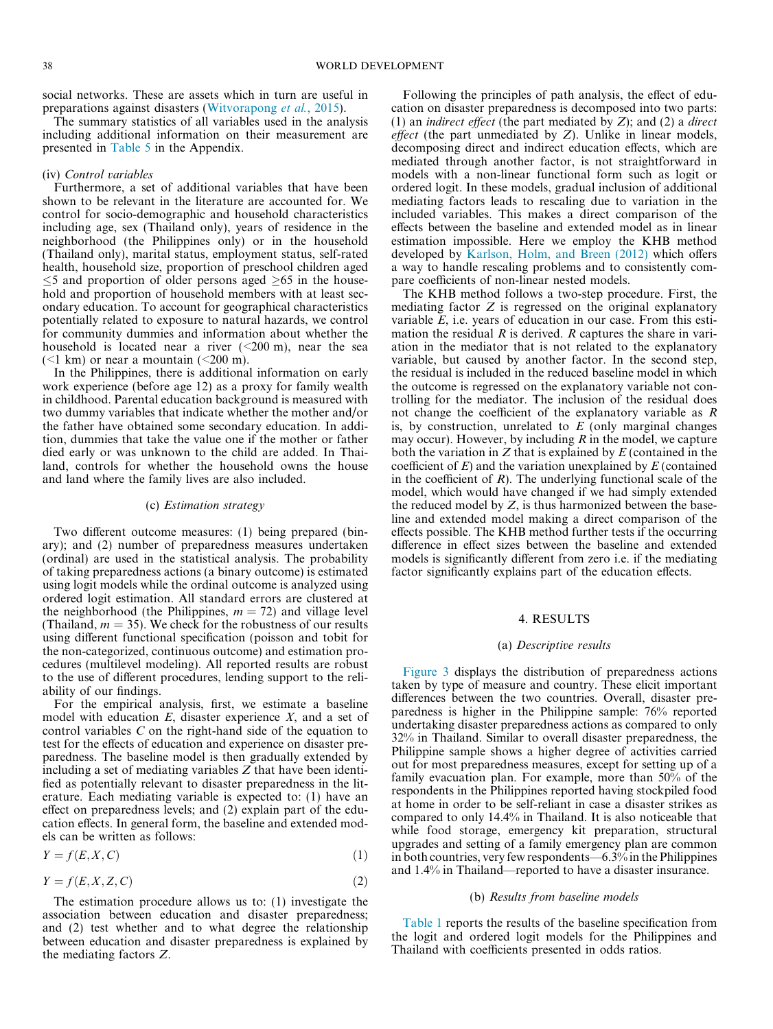<span id="page-6-0"></span>social networks. These are assets which in turn are useful in preparations against disasters ([Witvorapong](#page-16-0) et al., 2015).

The summary statistics of all variables used in the analysis including additional information on their measurement are presented in [Table 5](#page-16-0) in the Appendix.

## (iv) Control variables

Furthermore, a set of additional variables that have been shown to be relevant in the literature are accounted for. We control for socio-demographic and household characteristics including age, sex (Thailand only), years of residence in the neighborhood (the Philippines only) or in the household (Thailand only), marital status, employment status, self-rated health, household size, proportion of preschool children aged  $5$  and proportion of older persons aged  $>65$  in the household and proportion of household members with at least secondary education. To account for geographical characteristics potentially related to exposure to natural hazards, we control for community dummies and information about whether the household is located near a river  $(<200 \text{ m})$ , near the sea  $(<1$  km) or near a mountain  $(<200$  m).

In the Philippines, there is additional information on early work experience (before age 12) as a proxy for family wealth in childhood. Parental education background is measured with two dummy variables that indicate whether the mother and/or the father have obtained some secondary education. In addition, dummies that take the value one if the mother or father died early or was unknown to the child are added. In Thailand, controls for whether the household owns the house and land where the family lives are also included.

#### (c) Estimation strategy

Two different outcome measures: (1) being prepared (binary); and (2) number of preparedness measures undertaken (ordinal) are used in the statistical analysis. The probability of taking preparedness actions (a binary outcome) is estimated using logit models while the ordinal outcome is analyzed using ordered logit estimation. All standard errors are clustered at the neighborhood (the Philippines,  $m = 72$ ) and village level (Thailand,  $m = 35$ ). We check for the robustness of our results using different functional specification (poisson and tobit for the non-categorized, continuous outcome) and estimation procedures (multilevel modeling). All reported results are robust to the use of different procedures, lending support to the reliability of our findings.

For the empirical analysis, first, we estimate a baseline model with education  $E$ , disaster experience  $X$ , and a set of control variables C on the right-hand side of the equation to test for the effects of education and experience on disaster preparedness. The baseline model is then gradually extended by including a set of mediating variables  $Z$  that have been identified as potentially relevant to disaster preparedness in the literature. Each mediating variable is expected to: (1) have an effect on preparedness levels; and (2) explain part of the education effects. In general form, the baseline and extended models can be written as follows:

$$
Y = f(E, X, C) \tag{1}
$$

$$
Y = f(E, X, Z, C) \tag{2}
$$

The estimation procedure allows us to: (1) investigate the association between education and disaster preparedness; and (2) test whether and to what degree the relationship between education and disaster preparedness is explained by the mediating factors Z.

Following the principles of path analysis, the effect of education on disaster preparedness is decomposed into two parts: (1) an *indirect effect* (the part mediated by  $Z$ ); and (2) a *direct*  $effect$  (the part unmediated by  $Z$ ). Unlike in linear models, decomposing direct and indirect education effects, which are mediated through another factor, is not straightforward in models with a non-linear functional form such as logit or ordered logit. In these models, gradual inclusion of additional mediating factors leads to rescaling due to variation in the included variables. This makes a direct comparison of the effects between the baseline and extended model as in linear estimation impossible. Here we employ the KHB method developed by [Karlson, Holm, and Breen \(2012\)](#page-14-0) which offers a way to handle rescaling problems and to consistently compare coefficients of non-linear nested models.

The KHB method follows a two-step procedure. First, the mediating factor Z is regressed on the original explanatory variable  $E$ , i.e. years of education in our case. From this estimation the residual  $R$  is derived.  $R$  captures the share in variation in the mediator that is not related to the explanatory variable, but caused by another factor. In the second step, the residual is included in the reduced baseline model in which the outcome is regressed on the explanatory variable not controlling for the mediator. The inclusion of the residual does not change the coefficient of the explanatory variable as R is, by construction, unrelated to  $E$  (only marginal changes may occur). However, by including  $R$  in the model, we capture both the variation in  $Z$  that is explained by  $E$  (contained in the coefficient of  $E$ ) and the variation unexplained by  $E$  (contained in the coefficient of  $R$ ). The underlying functional scale of the model, which would have changed if we had simply extended the reduced model by  $Z$ , is thus harmonized between the baseline and extended model making a direct comparison of the effects possible. The KHB method further tests if the occurring difference in effect sizes between the baseline and extended models is significantly different from zero i.e. if the mediating factor significantly explains part of the education effects.

## 4. RESULTS

#### (a) Descriptive results

[Figure 3](#page-7-0) displays the distribution of preparedness actions taken by type of measure and country. These elicit important differences between the two countries. Overall, disaster preparedness is higher in the Philippine sample: 76% reported undertaking disaster preparedness actions as compared to only 32% in Thailand. Similar to overall disaster preparedness, the Philippine sample shows a higher degree of activities carried out for most preparedness measures, except for setting up of a family evacuation plan. For example, more than 50% of the respondents in the Philippines reported having stockpiled food at home in order to be self-reliant in case a disaster strikes as compared to only 14.4% in Thailand. It is also noticeable that while food storage, emergency kit preparation, structural upgrades and setting of a family emergency plan are common in both countries, very few respondents—6.3% in the Philippines and 1.4% in Thailand—reported to have a disaster insurance.

#### (b) Results from baseline models

[Table 1](#page-7-0) reports the results of the baseline specification from the logit and ordered logit models for the Philippines and Thailand with coefficients presented in odds ratios.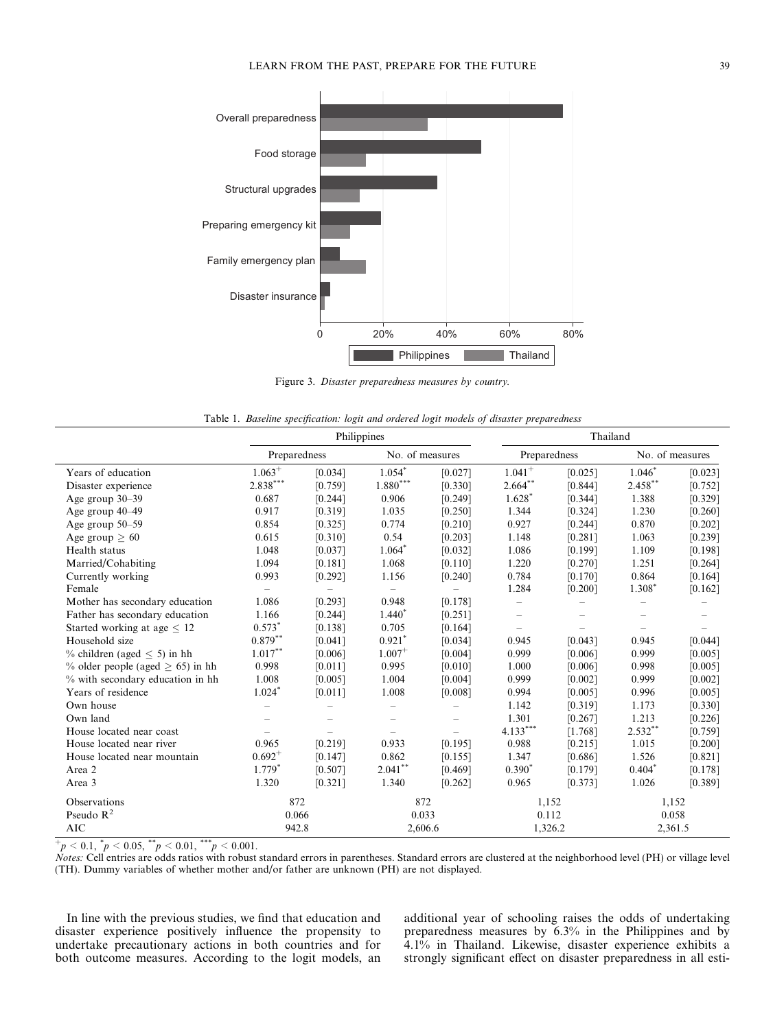<span id="page-7-0"></span>

Figure 3. Disaster preparedness measures by country.

Table 1. Baseline specification: logit and ordered logit models of disaster preparedness

|                                     |              | Philippines              |                 |                          | Thailand                 |         |                                 |         |  |  |
|-------------------------------------|--------------|--------------------------|-----------------|--------------------------|--------------------------|---------|---------------------------------|---------|--|--|
|                                     | Preparedness |                          | No. of measures |                          | Preparedness             |         | No. of measures                 |         |  |  |
| Years of education                  | $1.063^{+}$  | [0.034]                  | $1.054*$        | [0.027]                  | $1.041^{+}$              | [0.025] | $1.046*$                        | [0.023] |  |  |
| Disaster experience                 | $2.838***$   | [0.759]                  | $1.880***$      | [0.330]                  | $2.664***$               | [0.844] | $2.458***$                      | [0.752] |  |  |
| Age group 30–39                     | 0.687        | [0.244]                  | 0.906           | [0.249]                  | $1.628*$                 | [0.344] | 1.388                           | [0.329] |  |  |
| Age group 40-49                     | 0.917        | [0.319]                  | 1.035           | [0.250]                  | 1.344                    | [0.324] | 1.230                           | [0.260] |  |  |
| Age group 50-59                     | 0.854        | [0.325]                  | 0.774           | [0.210]                  | 0.927                    | [0.244] | 0.870                           | [0.202] |  |  |
| Age group $> 60$                    | 0.615        | [0.310]                  | 0.54            | [0.203]                  | 1.148                    | [0.281] | 1.063                           | [0.239] |  |  |
| Health status                       | 1.048        | [0.037]                  | $1.064*$        | [0.032]                  | 1.086                    | [0.199] | 1.109                           | [0.198] |  |  |
| Married/Cohabiting                  | 1.094        | [0.181]                  | 1.068           | [0.110]                  | 1.220                    | [0.270] | 1.251                           | [0.264] |  |  |
| Currently working                   | 0.993        | [0.292]                  | 1.156           | [0.240]                  | 0.784                    | [0.170] | 0.864                           | [0.164] |  |  |
| Female                              |              |                          |                 |                          | 1.284                    | [0.200] | $1.308*$                        | [0.162] |  |  |
| Mother has secondary education      | 1.086        | [0.293]                  | 0.948           | [0.178]                  | $\overline{\phantom{0}}$ |         |                                 |         |  |  |
| Father has secondary education      | 1.166        | [0.244]                  | $1.440*$        | [0.251]                  | $\overline{\phantom{0}}$ |         |                                 |         |  |  |
| Started working at age $\leq 12$    | $0.573*$     | [0.138]                  | 0.705           | [0.164]                  | $\overline{\phantom{0}}$ |         | $\hspace{0.1mm}-\hspace{0.1mm}$ |         |  |  |
| Household size                      | $0.879***$   | [0.041]                  | $0.921*$        | [0.034]                  | 0.945                    | [0.043] | 0.945                           | [0.044] |  |  |
| % children (aged $\leq$ 5) in hh    | $1.017***$   | [0.006]                  | $1.007^{+}$     | [0.004]                  | 0.999                    | [0.006] | 0.999                           | [0.005] |  |  |
| % older people (aged $> 65$ ) in hh | 0.998        | [0.011]                  | 0.995           | [0.010]                  | 1.000                    | [0.006] | 0.998                           | [0.005] |  |  |
| % with secondary education in hh    | 1.008        | [0.005]                  | 1.004           | [0.004]                  | 0.999                    | [0.002] | 0.999                           | [0.002] |  |  |
| Years of residence                  | $1.024*$     | [0.011]                  | 1.008           | [0.008]                  | 0.994                    | [0.005] | 0.996                           | [0.005] |  |  |
| Own house                           |              | $\overline{\phantom{0}}$ |                 |                          | 1.142                    | [0.319] | 1.173                           | [0.330] |  |  |
| Own land                            |              |                          |                 | $\overline{\phantom{m}}$ | 1.301                    | [0.267] | 1.213                           | [0.226] |  |  |
| House located near coast            |              |                          |                 |                          | $4.133***$               | [1.768] | $2.532***$                      | [0.759] |  |  |
| House located near river            | 0.965        | [0.219]                  | 0.933           | [0.195]                  | 0.988                    | [0.215] | 1.015                           | [0.200] |  |  |
| House located near mountain         | $0.692^{+}$  | [0.147]                  | 0.862           | [0.155]                  | 1.347                    | [0.686] | 1.526                           | [0.821] |  |  |
| Area 2                              | $1.779*$     | [0.507]                  | $2.041***$      | [0.469]                  | $0.390*$                 | [0.179] | $0.404*$                        | [0.178] |  |  |
| Area 3                              | 1.320        | [0.321]                  | 1.340           | [0.262]                  | 0.965                    | [0.373] | 1.026                           | [0.389] |  |  |
| Observations                        | 872          |                          | 872             |                          | 1,152                    |         |                                 | 1,152   |  |  |
| Pseudo $R^2$                        | 0.066        |                          | 0.033           |                          | 0.112                    |         | 0.058                           |         |  |  |
| <b>AIC</b>                          | 942.8        |                          | 2,606.6         |                          | 1,326.2                  |         | 2,361.5                         |         |  |  |

 $^+p < 0.1, \, {}^{\ast}p < 0.05, \, {}^{\ast\ast}p < 0.01, \, {}^{\ast\ast\ast}p < 0.001.$ 

Notes: Cell entries are odds ratios with robust standard errors in parentheses. Standard errors are clustered at the neighborhood level (PH) or village level (TH). Dummy variables of whether mother and/or father are unknown (PH) are not displayed.

In line with the previous studies, we find that education and disaster experience positively influence the propensity to undertake precautionary actions in both countries and for both outcome measures. According to the logit models, an additional year of schooling raises the odds of undertaking preparedness measures by 6.3% in the Philippines and by 4.1% in Thailand. Likewise, disaster experience exhibits a strongly significant effect on disaster preparedness in all esti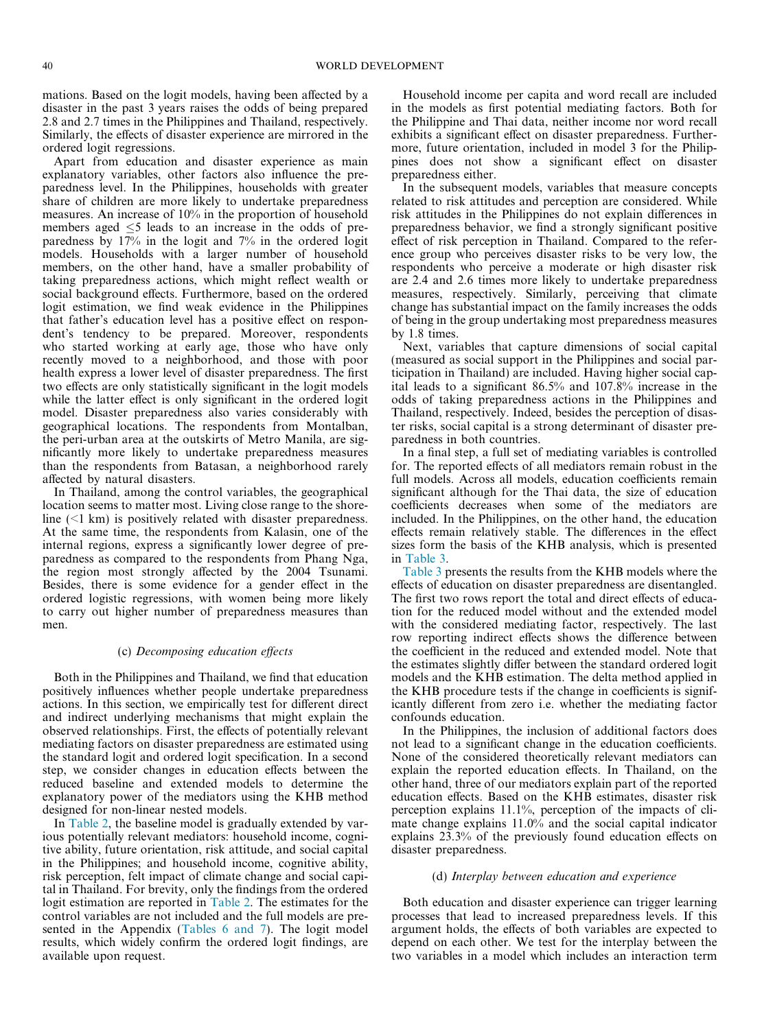mations. Based on the logit models, having been affected by a disaster in the past 3 years raises the odds of being prepared 2.8 and 2.7 times in the Philippines and Thailand, respectively. Similarly, the effects of disaster experience are mirrored in the ordered logit regressions.

Apart from education and disaster experience as main explanatory variables, other factors also influence the preparedness level. In the Philippines, households with greater share of children are more likely to undertake preparedness measures. An increase of 10% in the proportion of household members aged  $\leq$  s leads to an increase in the odds of preparedness by 17% in the logit and 7% in the ordered logit models. Households with a larger number of household members, on the other hand, have a smaller probability of taking preparedness actions, which might reflect wealth or social background effects. Furthermore, based on the ordered logit estimation, we find weak evidence in the Philippines that father's education level has a positive effect on respondent's tendency to be prepared. Moreover, respondents who started working at early age, those who have only recently moved to a neighborhood, and those with poor health express a lower level of disaster preparedness. The first two effects are only statistically significant in the logit models while the latter effect is only significant in the ordered logit model. Disaster preparedness also varies considerably with geographical locations. The respondents from Montalban, the peri-urban area at the outskirts of Metro Manila, are significantly more likely to undertake preparedness measures than the respondents from Batasan, a neighborhood rarely affected by natural disasters.

In Thailand, among the control variables, the geographical location seems to matter most. Living close range to the shoreline (<1 km) is positively related with disaster preparedness. At the same time, the respondents from Kalasin, one of the internal regions, express a significantly lower degree of preparedness as compared to the respondents from Phang Nga, the region most strongly affected by the 2004 Tsunami. Besides, there is some evidence for a gender effect in the ordered logistic regressions, with women being more likely to carry out higher number of preparedness measures than men.

## (c) Decomposing education effects

Both in the Philippines and Thailand, we find that education positively influences whether people undertake preparedness actions. In this section, we empirically test for different direct and indirect underlying mechanisms that might explain the observed relationships. First, the effects of potentially relevant mediating factors on disaster preparedness are estimated using the standard logit and ordered logit specification. In a second step, we consider changes in education effects between the reduced baseline and extended models to determine the explanatory power of the mediators using the KHB method designed for non-linear nested models.

In [Table 2](#page-9-0), the baseline model is gradually extended by various potentially relevant mediators: household income, cognitive ability, future orientation, risk attitude, and social capital in the Philippines; and household income, cognitive ability, risk perception, felt impact of climate change and social capital in Thailand. For brevity, only the findings from the ordered logit estimation are reported in [Table 2.](#page-9-0) The estimates for the control variables are not included and the full models are presented in the Appendix ([Tables 6 and 7](#page-17-0)). The logit model results, which widely confirm the ordered logit findings, are available upon request.

Household income per capita and word recall are included in the models as first potential mediating factors. Both for the Philippine and Thai data, neither income nor word recall exhibits a significant effect on disaster preparedness. Furthermore, future orientation, included in model 3 for the Philippines does not show a significant effect on disaster preparedness either.

In the subsequent models, variables that measure concepts related to risk attitudes and perception are considered. While risk attitudes in the Philippines do not explain differences in preparedness behavior, we find a strongly significant positive effect of risk perception in Thailand. Compared to the reference group who perceives disaster risks to be very low, the respondents who perceive a moderate or high disaster risk are 2.4 and 2.6 times more likely to undertake preparedness measures, respectively. Similarly, perceiving that climate change has substantial impact on the family increases the odds of being in the group undertaking most preparedness measures by 1.8 times.

Next, variables that capture dimensions of social capital (measured as social support in the Philippines and social participation in Thailand) are included. Having higher social capital leads to a significant 86.5% and 107.8% increase in the odds of taking preparedness actions in the Philippines and Thailand, respectively. Indeed, besides the perception of disaster risks, social capital is a strong determinant of disaster preparedness in both countries.

In a final step, a full set of mediating variables is controlled for. The reported effects of all mediators remain robust in the full models. Across all models, education coefficients remain significant although for the Thai data, the size of education coefficients decreases when some of the mediators are included. In the Philippines, on the other hand, the education effects remain relatively stable. The differences in the effect sizes form the basis of the KHB analysis, which is presented in [Table 3.](#page-10-0)

[Table 3](#page-10-0) presents the results from the KHB models where the effects of education on disaster preparedness are disentangled. The first two rows report the total and direct effects of education for the reduced model without and the extended model with the considered mediating factor, respectively. The last row reporting indirect effects shows the difference between the coefficient in the reduced and extended model. Note that the estimates slightly differ between the standard ordered logit models and the KHB estimation. The delta method applied in the KHB procedure tests if the change in coefficients is significantly different from zero i.e. whether the mediating factor confounds education.

In the Philippines, the inclusion of additional factors does not lead to a significant change in the education coefficients. None of the considered theoretically relevant mediators can explain the reported education effects. In Thailand, on the other hand, three of our mediators explain part of the reported education effects. Based on the KHB estimates, disaster risk perception explains 11.1%, perception of the impacts of climate change explains 11.0% and the social capital indicator explains 23.3% of the previously found education effects on disaster preparedness.

#### (d) Interplay between education and experience

Both education and disaster experience can trigger learning processes that lead to increased preparedness levels. If this argument holds, the effects of both variables are expected to depend on each other. We test for the interplay between the two variables in a model which includes an interaction term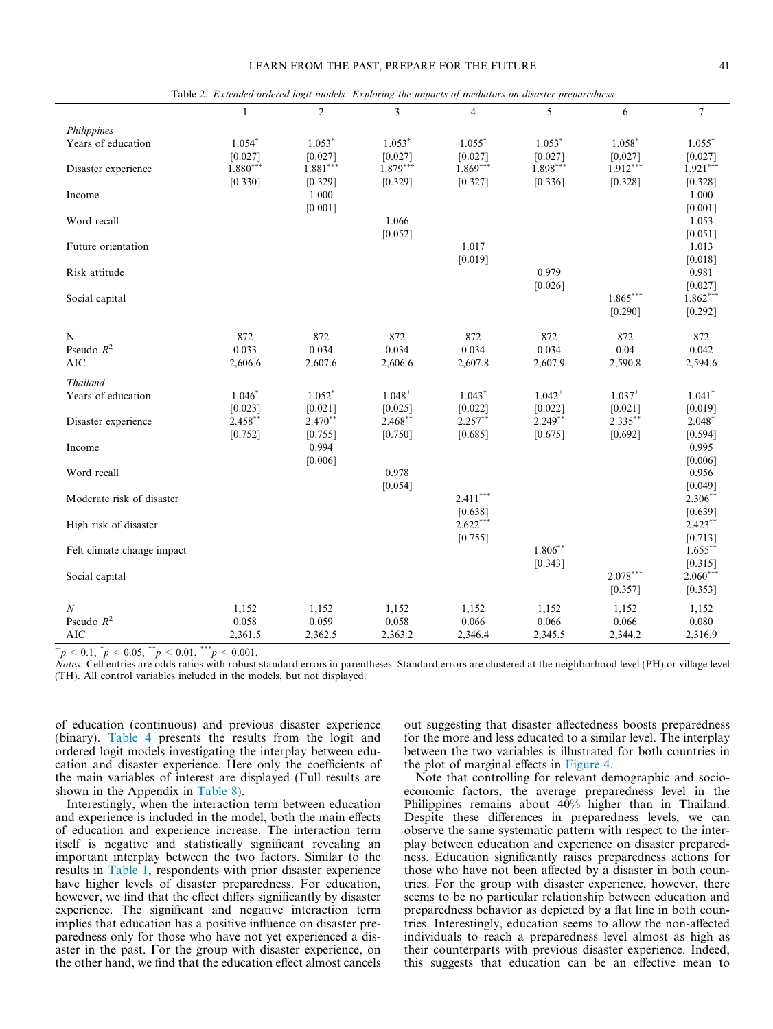<span id="page-9-0"></span>

|                            | $\mathbf{1}$ | $\overline{2}$ | 3           | $\overline{\mathbf{4}}$ | 5           | 6           | $\tau$     |
|----------------------------|--------------|----------------|-------------|-------------------------|-------------|-------------|------------|
| Philippines                |              |                |             |                         |             |             |            |
| Years of education         | $1.054*$     | $1.053*$       | $1.053*$    | $1.055*$                | $1.053*$    | $1.058*$    | $1.055*$   |
|                            | [0.027]      | [0.027]        | [0.027]     | [0.027]                 | [0.027]     | [0.027]     | [0.027]    |
| Disaster experience        | $1.880***$   | $1.881***$     | $1.879***$  | $1.869***$              | $1.898***$  | $1.912***$  | $1.921***$ |
|                            | [0.330]      | [0.329]        | [0.329]     | [0.327]                 | [0.336]     | [0.328]     | [0.328]    |
| Income                     |              | 1.000          |             |                         |             |             | 1.000      |
|                            |              | [0.001]        |             |                         |             |             | [0.001]    |
| Word recall                |              |                | 1.066       |                         |             |             | 1.053      |
|                            |              |                | [0.052]     |                         |             |             | [0.051]    |
| Future orientation         |              |                |             | 1.017                   |             |             | 1.013      |
|                            |              |                |             | [0.019]                 |             |             | [0.018]    |
| Risk attitude              |              |                |             |                         | 0.979       |             | 0.981      |
|                            |              |                |             |                         | [0.026]     |             | [0.027]    |
| Social capital             |              |                |             |                         |             | $1.865***$  | $1.862***$ |
|                            |              |                |             |                         |             | [0.290]     | [0.292]    |
|                            |              |                |             |                         |             |             |            |
| ${\bf N}$                  | 872          | 872            | 872         | 872                     | 872         | 872         | 872        |
| Pseudo $R^2$               | 0.033        | 0.034          | 0.034       | 0.034                   | 0.034       | 0.04        | 0.042      |
| <b>AIC</b>                 | 2,606.6      | 2,607.6        | 2,606.6     | 2,607.8                 | 2,607.9     | 2,590.8     | 2,594.6    |
|                            |              |                |             |                         |             |             |            |
| <b>Thailand</b>            |              |                |             |                         |             |             |            |
| Years of education         | $1.046*$     | $1.052*$       | $1.048^{+}$ | $1.043*$                | $1.042^{+}$ | $1.037^{+}$ | $1.041*$   |
|                            | [0.023]      | [0.021]        | [0.025]     | [0.022]                 | [0.022]     | [0.021]     | [0.019]    |
| Disaster experience        | $2.458***$   | $2.470**$      | $2.468***$  | $2.257***$              | $2.249**$   | $2.335***$  | $2.048*$   |
|                            | [0.752]      | [0.755]        | [0.750]     | [0.685]                 | [0.675]     | [0.692]     | [0.594]    |
| Income                     |              | 0.994          |             |                         |             |             | 0.995      |
|                            |              | [0.006]        |             |                         |             |             | [0.006]    |
| Word recall                |              |                | 0.978       |                         |             |             | 0.956      |
|                            |              |                | [0.054]     |                         |             |             | [0.049]    |
| Moderate risk of disaster  |              |                |             | $2.411***$              |             |             | 2.306**    |
|                            |              |                |             | [0.638]                 |             |             | [0.639]    |
| High risk of disaster      |              |                |             | $2.622***$              |             |             | $2.423***$ |
|                            |              |                |             | [0.755]                 |             |             | [0.713]    |
| Felt climate change impact |              |                |             |                         | $1.806***$  |             | $1.655***$ |
|                            |              |                |             |                         | [0.343]     |             | [0.315]    |
| Social capital             |              |                |             |                         |             | $2.078***$  | $2.060***$ |
|                            |              |                |             |                         |             | [0.357]     | [0.353]    |
| $\cal N$                   | 1,152        | 1,152          | 1,152       | 1,152                   | 1,152       | 1,152       | 1,152      |
| Pseudo $R^2$               | 0.058        | 0.059          | 0.058       | 0.066                   | 0.066       | 0.066       | 0.080      |
| <b>AIC</b>                 | 2,361.5      | 2,362.5        | 2,363.2     | 2,346.4                 | 2,345.5     | 2,344.2     | 2,316.9    |

Table 2. Extended ordered logit models: Exploring the impacts of mediators on disaster preparedness

 $^{+}p < 0.1, \, {^{*}p} < 0.05, \, {^{**}p} < 0.01, \, {^{***}p} < 0.001.$ 

Notes: Cell entries are odds ratios with robust standard errors in parentheses. Standard errors are clustered at the neighborhood level (PH) or village level (TH). All control variables included in the models, but not displayed.

of education (continuous) and previous disaster experience (binary). [Table 4](#page-10-0) presents the results from the logit and ordered logit models investigating the interplay between education and disaster experience. Here only the coefficients of the main variables of interest are displayed (Full results are shown in the Appendix in [Table 8\)](#page-19-0).

Interestingly, when the interaction term between education and experience is included in the model, both the main effects of education and experience increase. The interaction term itself is negative and statistically significant revealing an important interplay between the two factors. Similar to the results in [Table 1](#page-7-0), respondents with prior disaster experience have higher levels of disaster preparedness. For education, however, we find that the effect differs significantly by disaster experience. The significant and negative interaction term implies that education has a positive influence on disaster preparedness only for those who have not yet experienced a disaster in the past. For the group with disaster experience, on the other hand, we find that the education effect almost cancels

out suggesting that disaster affectedness boosts preparedness for the more and less educated to a similar level. The interplay between the two variables is illustrated for both countries in the plot of marginal effects in [Figure 4](#page-11-0).

Note that controlling for relevant demographic and socioeconomic factors, the average preparedness level in the Philippines remains about 40% higher than in Thailand. Despite these differences in preparedness levels, we can observe the same systematic pattern with respect to the interplay between education and experience on disaster preparedness. Education significantly raises preparedness actions for those who have not been affected by a disaster in both countries. For the group with disaster experience, however, there seems to be no particular relationship between education and preparedness behavior as depicted by a flat line in both countries. Interestingly, education seems to allow the non-affected individuals to reach a preparedness level almost as high as their counterparts with previous disaster experience. Indeed, this suggests that education can be an effective mean to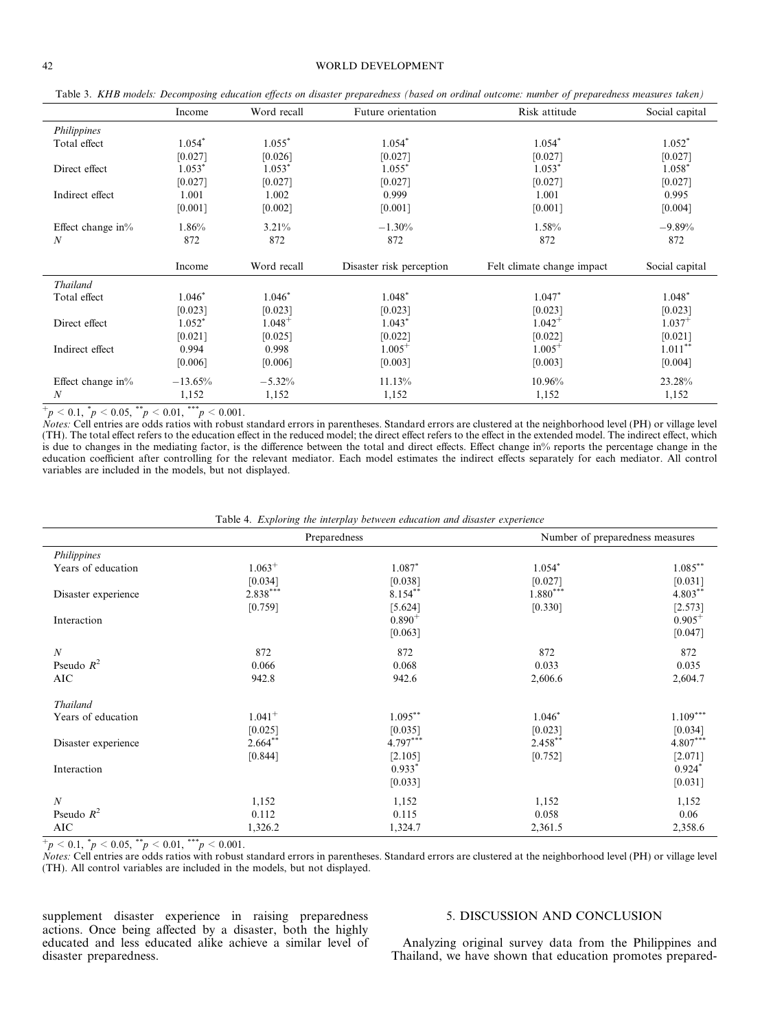## <span id="page-10-0"></span>42 WORLD DEVELOPMENT

Table 3. KHB models: Decomposing education effects on disaster preparedness (based on ordinal outcome: number of preparedness measures taken)

|                   | Income    | Word recall | Future orientation       | Risk attitude              | Social capital |
|-------------------|-----------|-------------|--------------------------|----------------------------|----------------|
| Philippines       |           |             |                          |                            |                |
| Total effect      | $1.054*$  | $1.055*$    | $1.054*$                 | $1.054*$                   | $1.052*$       |
|                   | [0.027]   | [0.026]     | [0.027]                  | [0.027]                    | [0.027]        |
| Direct effect     | $1.053*$  | $1.053*$    | $1.055*$                 | $1.053*$                   | $1.058*$       |
|                   | [0.027]   | [0.027]     | [0.027]                  | [0.027]                    | [0.027]        |
| Indirect effect   | 1.001     | 1.002       | 0.999                    | 1.001                      | 0.995          |
|                   | [0.001]   | [0.002]     | [0.001]                  | [0.001]                    | [0.004]        |
| Effect change in% | 1.86%     | 3.21%       | $-1.30%$                 | 1.58%                      | $-9.89%$       |
| $\boldsymbol{N}$  | 872       | 872         | 872                      | 872                        | 872            |
|                   | Income    | Word recall | Disaster risk perception | Felt climate change impact | Social capital |
| <b>Thailand</b>   |           |             |                          |                            |                |
| Total effect      | $1.046*$  | $1.046*$    | $1.048*$                 | $1.047*$                   | $1.048*$       |
|                   | [0.023]   | [0.023]     | [0.023]                  | [0.023]                    | [0.023]        |
| Direct effect     | $1.052*$  | $1.048^{+}$ | $1.043*$                 | $1.042^{+}$                | $1.037^{+}$    |
|                   | [0.021]   | [0.025]     | [0.022]                  | [0.022]                    | [0.021]        |
| Indirect effect   | 0.994     | 0.998       | $1.005^{+}$              | $1.005^{+}$                | $1.011***$     |
|                   | [0.006]   | [0.006]     | [0.003]                  | [0.003]                    | [0.004]        |
| Effect change in% | $-13.65%$ | $-5.32%$    | 11.13%                   | 10.96%                     | 23.28%         |
| N                 | 1,152     | 1,152       | 1,152                    | 1,152                      | 1,152          |

 $^+p < 0.1,\,{}^{\ast}p < 0.05,\,{}^{\ast\ast}p < 0.01,\,{}^{\ast\ast\ast}p < 0.001.$ 

Notes: Cell entries are odds ratios with robust standard errors in parentheses. Standard errors are clustered at the neighborhood level (PH) or village level (TH). The total effect refers to the education effect in the reduced model; the direct effect refers to the effect in the extended model. The indirect effect, which is due to changes in the mediating factor, is the difference between the total and direct effects. Effect change in% reports the percentage change in the education coefficient after controlling for the relevant mediator. Each model estimates the indirect effects separately for each mediator. All control variables are included in the models, but not displayed.

| Table 4. Exploring the interplay between education and disaster experience |
|----------------------------------------------------------------------------|
|----------------------------------------------------------------------------|

|                     |             | Preparedness | Number of preparedness measures |             |
|---------------------|-------------|--------------|---------------------------------|-------------|
| Philippines         |             |              |                                 |             |
| Years of education  | $1.063^{+}$ | $1.087*$     | $1.054*$                        | $1.085***$  |
|                     | [0.034]     | [0.038]      | [0.027]                         | [0.031]     |
| Disaster experience | 2.838***    | $8.154***$   | $1.880***$                      | 4.803**     |
|                     | [0.759]     | [5.624]      | [0.330]                         | $[2.573]$   |
| Interaction         |             | $0.890^{+}$  |                                 | $0.905^{+}$ |
|                     |             | [0.063]      |                                 | [0.047]     |
| $\boldsymbol{N}$    | 872         | 872          | 872                             | 872         |
| Pseudo $R^2$        | 0.066       | 0.068        | 0.033                           | 0.035       |
| <b>AIC</b>          | 942.8       | 942.6        | 2,606.6                         | 2,604.7     |
| <b>Thailand</b>     |             |              |                                 |             |
| Years of education  | $1.041^{+}$ | $1.095***$   | $1.046*$                        | $1.109***$  |
|                     | [0.025]     | [0.035]      | [0.023]                         | [0.034]     |
| Disaster experience | $2.664$ **  | 4.797***     | $2.458***$                      | 4.807***    |
|                     | [0.844]     | [2.105]      | [0.752]                         | $[2.071]$   |
| Interaction         |             | $0.933*$     |                                 | $0.924*$    |
|                     |             | [0.033]      |                                 | [0.031]     |
| $\boldsymbol{N}$    | 1,152       | 1,152        | 1,152                           | 1,152       |
| Pseudo $R^2$        | 0.112       | 0.115        | 0.058                           | 0.06        |
| <b>AIC</b>          | 1,326.2     | 1,324.7      | 2,361.5                         | 2,358.6     |

 $^{+}p < 0.1, \, {^{*}p} < 0.05, \, {^{**}p} < 0.01, \, {^{***}p} < 0.001.$ 

Notes: Cell entries are odds ratios with robust standard errors in parentheses. Standard errors are clustered at the neighborhood level (PH) or village level (TH). All control variables are included in the models, but not displayed.

supplement disaster experience in raising preparedness actions. Once being affected by a disaster, both the highly educated and less educated alike achieve a similar level of disaster preparedness.

## 5. DISCUSSION AND CONCLUSION

Analyzing original survey data from the Philippines and Thailand, we have shown that education promotes prepared-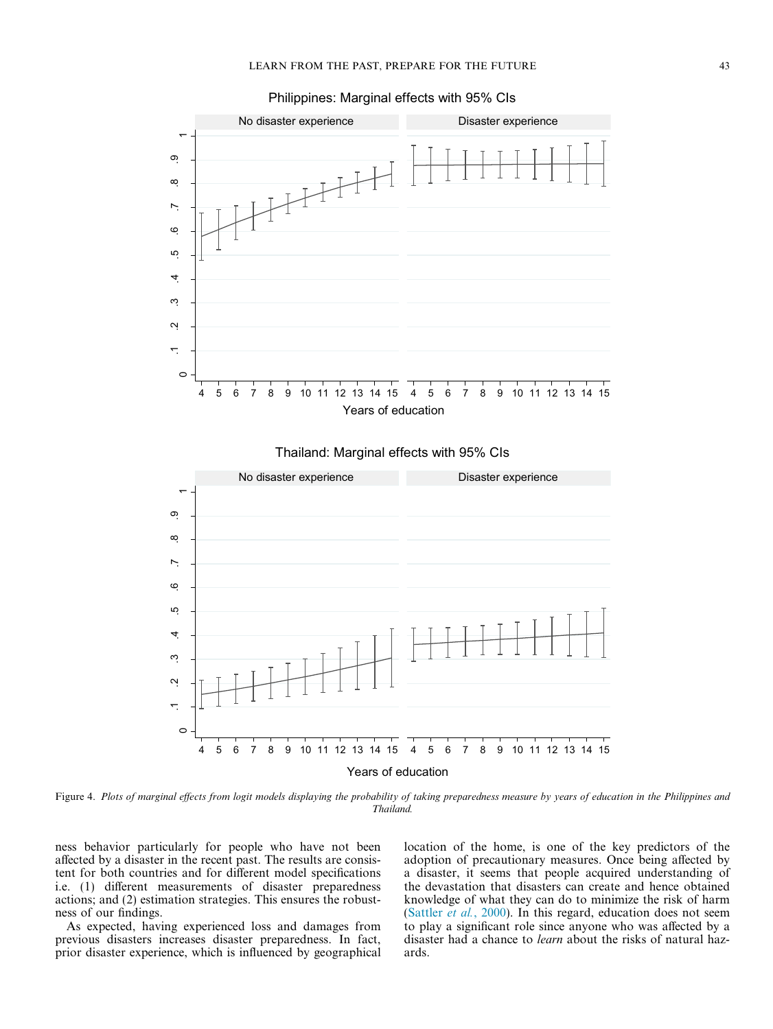

<span id="page-11-0"></span>





Years of education

Figure 4. Plots of marginal effects from logit models displaying the probability of taking preparedness measure by years of education in the Philippines and Thailand.

ness behavior particularly for people who have not been affected by a disaster in the recent past. The results are consistent for both countries and for different model specifications i.e. (1) different measurements of disaster preparedness actions; and (2) estimation strategies. This ensures the robustness of our findings.

As expected, having experienced loss and damages from previous disasters increases disaster preparedness. In fact, prior disaster experience, which is influenced by geographical location of the home, is one of the key predictors of the adoption of precautionary measures. Once being affected by a disaster, it seems that people acquired understanding of the devastation that disasters can create and hence obtained knowledge of what they can do to minimize the risk of harm ([Sattler](#page-15-0) et al., 2000). In this regard, education does not seem to play a significant role since anyone who was affected by a disaster had a chance to learn about the risks of natural hazards.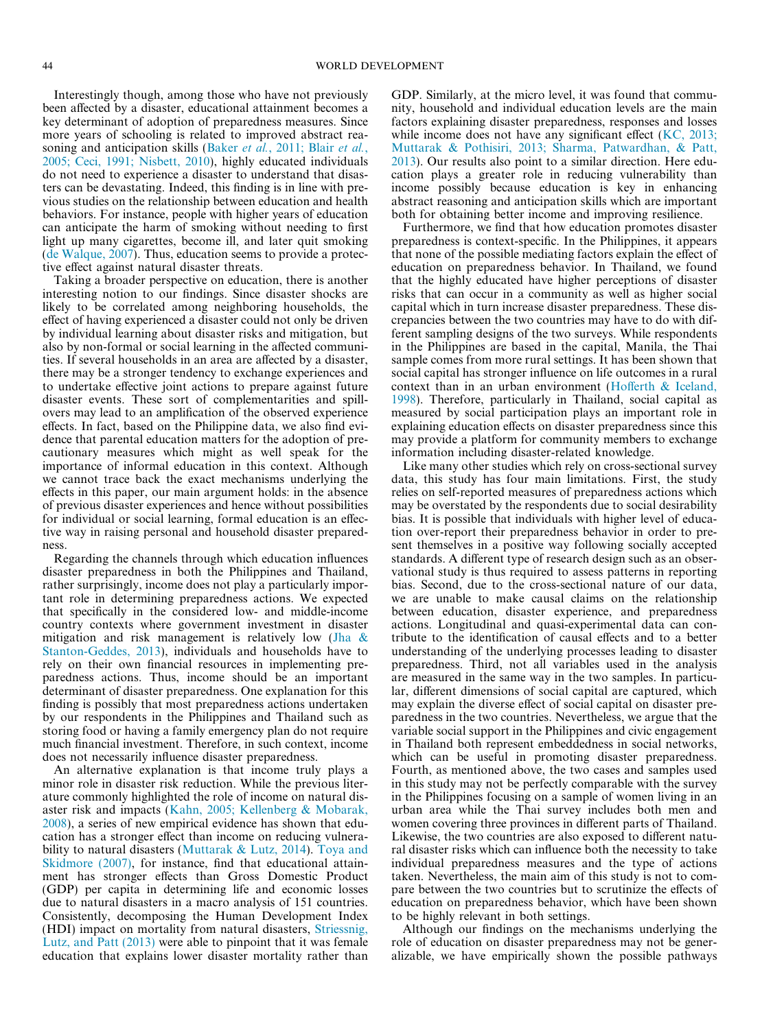Interestingly though, among those who have not previously been affected by a disaster, educational attainment becomes a key determinant of adoption of preparedness measures. Since more years of schooling is related to improved abstract rea-soning and anticipation skills (Baker et al.[, 2011; Blair](#page-13-0) et al., [2005; Ceci, 1991; Nisbett, 2010\)](#page-13-0), highly educated individuals do not need to experience a disaster to understand that disasters can be devastating. Indeed, this finding is in line with previous studies on the relationship between education and health behaviors. For instance, people with higher years of education can anticipate the harm of smoking without needing to first light up many cigarettes, become ill, and later quit smoking ([de Walque, 2007\)](#page-14-0). Thus, education seems to provide a protective effect against natural disaster threats.

Taking a broader perspective on education, there is another interesting notion to our findings. Since disaster shocks are likely to be correlated among neighboring households, the effect of having experienced a disaster could not only be driven by individual learning about disaster risks and mitigation, but also by non-formal or social learning in the affected communities. If several households in an area are affected by a disaster, there may be a stronger tendency to exchange experiences and to undertake effective joint actions to prepare against future disaster events. These sort of complementarities and spillovers may lead to an amplification of the observed experience effects. In fact, based on the Philippine data, we also find evidence that parental education matters for the adoption of precautionary measures which might as well speak for the importance of informal education in this context. Although we cannot trace back the exact mechanisms underlying the effects in this paper, our main argument holds: in the absence of previous disaster experiences and hence without possibilities for individual or social learning, formal education is an effective way in raising personal and household disaster preparedness.

Regarding the channels through which education influences disaster preparedness in both the Philippines and Thailand, rather surprisingly, income does not play a particularly important role in determining preparedness actions. We expected that specifically in the considered low- and middle-income country contexts where government investment in disaster mitigation and risk management is relatively low ([Jha &](#page-14-0) [Stanton-Geddes, 2013\)](#page-14-0), individuals and households have to rely on their own financial resources in implementing preparedness actions. Thus, income should be an important determinant of disaster preparedness. One explanation for this finding is possibly that most preparedness actions undertaken by our respondents in the Philippines and Thailand such as storing food or having a family emergency plan do not require much financial investment. Therefore, in such context, income does not necessarily influence disaster preparedness.

An alternative explanation is that income truly plays a minor role in disaster risk reduction. While the previous literature commonly highlighted the role of income on natural disaster risk and impacts ([Kahn, 2005; Kellenberg & Mobarak,](#page-14-0) [2008\)](#page-14-0), a series of new empirical evidence has shown that education has a stronger effect than income on reducing vulnerability to natural disasters [\(Muttarak & Lutz, 2014](#page-15-0)). [Toya and](#page-16-0) [Skidmore \(2007\)](#page-16-0), for instance, find that educational attainment has stronger effects than Gross Domestic Product (GDP) per capita in determining life and economic losses due to natural disasters in a macro analysis of 151 countries. Consistently, decomposing the Human Development Index (HDI) impact on mortality from natural disasters, [Striessnig,](#page-16-0) [Lutz, and Patt \(2013\)](#page-16-0) were able to pinpoint that it was female education that explains lower disaster mortality rather than GDP. Similarly, at the micro level, it was found that community, household and individual education levels are the main factors explaining disaster preparedness, responses and losses while income does not have any significant effect ([KC, 2013;](#page-14-0) [Muttarak & Pothisiri, 2013; Sharma, Patwardhan, & Patt,](#page-14-0) [2013\)](#page-14-0). Our results also point to a similar direction. Here education plays a greater role in reducing vulnerability than income possibly because education is key in enhancing abstract reasoning and anticipation skills which are important both for obtaining better income and improving resilience.

Furthermore, we find that how education promotes disaster preparedness is context-specific. In the Philippines, it appears that none of the possible mediating factors explain the effect of education on preparedness behavior. In Thailand, we found that the highly educated have higher perceptions of disaster risks that can occur in a community as well as higher social capital which in turn increase disaster preparedness. These discrepancies between the two countries may have to do with different sampling designs of the two surveys. While respondents in the Philippines are based in the capital, Manila, the Thai sample comes from more rural settings. It has been shown that social capital has stronger influence on life outcomes in a rural context than in an urban environment ([Hofferth & Iceland,](#page-14-0) [1998\)](#page-14-0). Therefore, particularly in Thailand, social capital as measured by social participation plays an important role in explaining education effects on disaster preparedness since this may provide a platform for community members to exchange information including disaster-related knowledge.

Like many other studies which rely on cross-sectional survey data, this study has four main limitations. First, the study relies on self-reported measures of preparedness actions which may be overstated by the respondents due to social desirability bias. It is possible that individuals with higher level of education over-report their preparedness behavior in order to present themselves in a positive way following socially accepted standards. A different type of research design such as an observational study is thus required to assess patterns in reporting bias. Second, due to the cross-sectional nature of our data, we are unable to make causal claims on the relationship between education, disaster experience, and preparedness actions. Longitudinal and quasi-experimental data can contribute to the identification of causal effects and to a better understanding of the underlying processes leading to disaster preparedness. Third, not all variables used in the analysis are measured in the same way in the two samples. In particular, different dimensions of social capital are captured, which may explain the diverse effect of social capital on disaster preparedness in the two countries. Nevertheless, we argue that the variable social support in the Philippines and civic engagement in Thailand both represent embeddedness in social networks, which can be useful in promoting disaster preparedness. Fourth, as mentioned above, the two cases and samples used in this study may not be perfectly comparable with the survey in the Philippines focusing on a sample of women living in an urban area while the Thai survey includes both men and women covering three provinces in different parts of Thailand. Likewise, the two countries are also exposed to different natural disaster risks which can influence both the necessity to take individual preparedness measures and the type of actions taken. Nevertheless, the main aim of this study is not to compare between the two countries but to scrutinize the effects of education on preparedness behavior, which have been shown to be highly relevant in both settings.

Although our findings on the mechanisms underlying the role of education on disaster preparedness may not be generalizable, we have empirically shown the possible pathways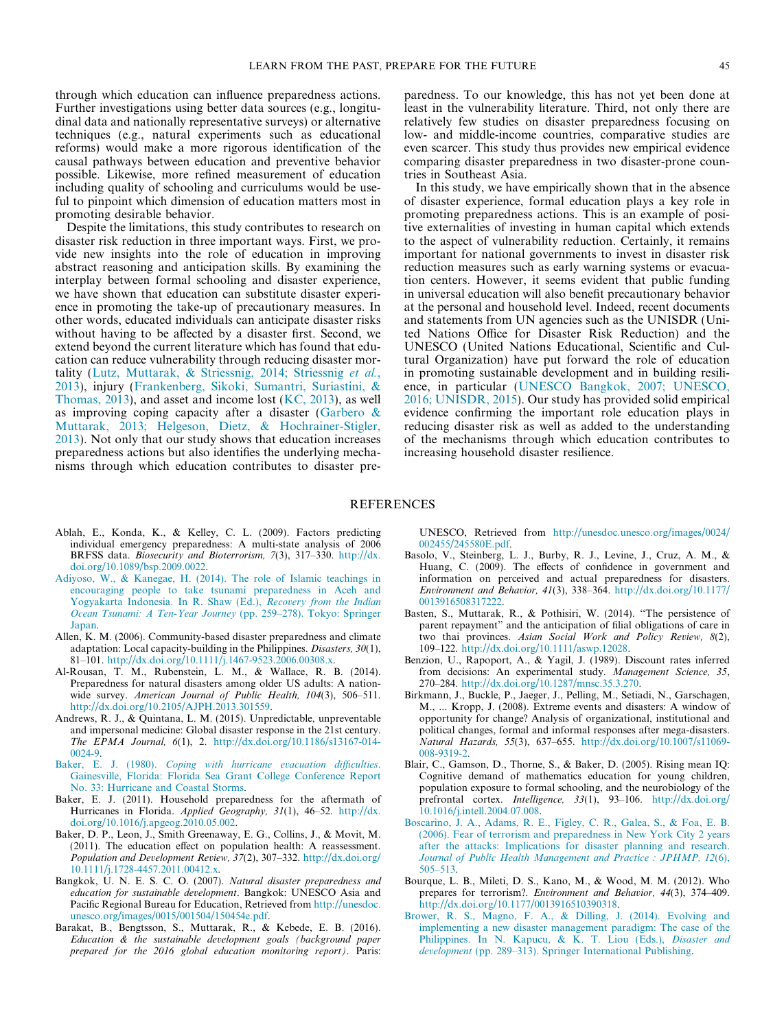<span id="page-13-0"></span>through which education can influence preparedness actions. Further investigations using better data sources (e.g., longitudinal data and nationally representative surveys) or alternative techniques (e.g., natural experiments such as educational reforms) would make a more rigorous identification of the causal pathways between education and preventive behavior possible. Likewise, more refined measurement of education including quality of schooling and curriculums would be useful to pinpoint which dimension of education matters most in promoting desirable behavior.

Despite the limitations, this study contributes to research on disaster risk reduction in three important ways. First, we provide new insights into the role of education in improving abstract reasoning and anticipation skills. By examining the interplay between formal schooling and disaster experience, we have shown that education can substitute disaster experience in promoting the take-up of precautionary measures. In other words, educated individuals can anticipate disaster risks without having to be affected by a disaster first. Second, we extend beyond the current literature which has found that education can reduce vulnerability through reducing disaster mortality [\(Lutz, Muttarak, & Striessnig, 2014; Striessnig](#page-15-0) et al., [2013](#page-15-0)), injury [\(Frankenberg, Sikoki, Sumantri, Suriastini, &](#page-14-0) [Thomas, 2013\)](#page-14-0), and asset and income lost ([KC, 2013\)](#page-14-0), as well as improving coping capacity after a disaster ([Garbero &](#page-14-0) [Muttarak, 2013; Helgeson, Dietz, & Hochrainer-Stigler,](#page-14-0) [2013](#page-14-0)). Not only that our study shows that education increases preparedness actions but also identifies the underlying mechanisms through which education contributes to disaster preparedness. To our knowledge, this has not yet been done at least in the vulnerability literature. Third, not only there are relatively few studies on disaster preparedness focusing on low- and middle-income countries, comparative studies are even scarcer. This study thus provides new empirical evidence comparing disaster preparedness in two disaster-prone countries in Southeast Asia.

In this study, we have empirically shown that in the absence of disaster experience, formal education plays a key role in promoting preparedness actions. This is an example of positive externalities of investing in human capital which extends to the aspect of vulnerability reduction. Certainly, it remains important for national governments to invest in disaster risk reduction measures such as early warning systems or evacuation centers. However, it seems evident that public funding in universal education will also benefit precautionary behavior at the personal and household level. Indeed, recent documents and statements from UN agencies such as the UNISDR (United Nations Office for Disaster Risk Reduction) and the UNESCO (United Nations Educational, Scientific and Cultural Organization) have put forward the role of education in promoting sustainable development and in building resilience, in particular (UNESCO Bangkok, 2007; UNESCO, 2016; UNISDR, 2015). Our study has provided solid empirical evidence confirming the important role education plays in reducing disaster risk as well as added to the understanding of the mechanisms through which education contributes to increasing household disaster resilience.

#### REFERENCES

- Ablah, E., Konda, K., & Kelley, C. L. (2009). Factors predicting individual emergency preparedness: A multi-state analysis of 2006 BRFSS data. Biosecurity and Bioterrorism, 7(3), 317–330. [http://dx.](http://dx.doi.org/10.1089/bsp.2009.0022) [doi.org/10.1089/bsp.2009.0022](http://dx.doi.org/10.1089/bsp.2009.0022).
- [Adiyoso, W., & Kanegae, H. \(2014\). The role of Islamic teachings in](http://refhub.elsevier.com/S0305-750X(15)31255-9/h0010) [encouraging people to take tsunami preparedness in Aceh and](http://refhub.elsevier.com/S0305-750X(15)31255-9/h0010) [Yogyakarta Indonesia. In R. Shaw \(Ed.\),](http://refhub.elsevier.com/S0305-750X(15)31255-9/h0010) Recovery from the Indian [Ocean Tsunami: A Ten-Year Journey](http://refhub.elsevier.com/S0305-750X(15)31255-9/h0010) [\(pp. 259–278\). Tokyo: Springer](http://refhub.elsevier.com/S0305-750X(15)31255-9/h0010) [Japan](http://refhub.elsevier.com/S0305-750X(15)31255-9/h0010).
- Allen, K. M. (2006). Community-based disaster preparedness and climate adaptation: Local capacity-building in the Philippines. Disasters, 30(1), 81–101. [http://dx.doi.org/10.1111/j.1467-9523.2006.00308.x.](http://dx.doi.org/10.1111/j.1467-9523.2006.00308.x)
- Al-Rousan, T. M., Rubenstein, L. M., & Wallace, R. B. (2014). Preparedness for natural disasters among older US adults: A nationwide survey. American Journal of Public Health, 104(3), 506–511. [http://dx.doi.org/10.2105/AJPH.2013.301559.](http://dx.doi.org/10.2105/AJPH.2013.301559)
- Andrews, R. J., & Quintana, L. M. (2015). Unpredictable, unpreventable and impersonal medicine: Global disaster response in the 21st century. The EPMA Journal, 6(1), 2. [http://dx.doi.org/10.1186/s13167-014-](http://dx.doi.org/10.1186/s13167-014-0024-9) [0024-9.](http://dx.doi.org/10.1186/s13167-014-0024-9)
- Baker, E. J. (1980). [Coping with hurricane evacuation difficulties](http://refhub.elsevier.com/S0305-750X(15)31255-9/h0030)[.](http://refhub.elsevier.com/S0305-750X(15)31255-9/h0030) [Gainesville, Florida: Florida Sea Grant College Conference Report](http://refhub.elsevier.com/S0305-750X(15)31255-9/h0030) [No. 33: Hurricane and Coastal Storms.](http://refhub.elsevier.com/S0305-750X(15)31255-9/h0030)
- Baker, E. J. (2011). Household preparedness for the aftermath of Hurricanes in Florida. Applied Geography, 31(1), 46–52. [http://dx.](http://dx.doi.org/10.1016/j.apgeog.2010.05.002) [doi.org/10.1016/j.apgeog.2010.05.002](http://dx.doi.org/10.1016/j.apgeog.2010.05.002).
- Baker, D. P., Leon, J., Smith Greenaway, E. G., Collins, J., & Movit, M. (2011). The education effect on population health: A reassessment. Population and Development Review, 37(2), 307–332. [http://dx.doi.org/](http://dx.doi.org/10.1111/j.1728-4457.2011.00412.x) [10.1111/j.1728-4457.2011.00412.x.](http://dx.doi.org/10.1111/j.1728-4457.2011.00412.x)
- Bangkok, U. N. E. S. C. O. (2007). Natural disaster preparedness and education for sustainable development. Bangkok: UNESCO Asia and Pacific Regional Bureau for Education, Retrieved from [http://unesdoc.](http://unesdoc.unesco.org/images/0015/001504/150454e.pdf) [unesco.org/images/0015/001504/150454e.pdf](http://unesdoc.unesco.org/images/0015/001504/150454e.pdf).
- Barakat, B., Bengtsson, S., Muttarak, R., & Kebede, E. B. (2016). Education & the sustainable development goals (background paper prepared for the 2016 global education monitoring report). Paris:

UNESCO, Retrieved from [http://unesdoc.unesco.org/images/0024/](http://unesdoc.unesco.org/images/0024/002455/245580E.pdf) [002455/245580E.pdf.](http://unesdoc.unesco.org/images/0024/002455/245580E.pdf)

- Basolo, V., Steinberg, L. J., Burby, R. J., Levine, J., Cruz, A. M., & Huang, C. (2009). The effects of confidence in government and information on perceived and actual preparedness for disasters. Environment and Behavior, 41(3), 338–364. [http://dx.doi.org/10.1177/](http://dx.doi.org/10.1177/0013916508317222) [0013916508317222.](http://dx.doi.org/10.1177/0013916508317222)
- Basten, S., Muttarak, R., & Pothisiri, W. (2014). ''The persistence of parent repayment" and the anticipation of filial obligations of care in two thai provinces. Asian Social Work and Policy Review, 8(2), 109–122. [http://dx.doi.org/10.1111/aswp.12028.](http://dx.doi.org/10.1111/aswp.12028)
- Benzion, U., Rapoport, A., & Yagil, J. (1989). Discount rates inferred from decisions: An experimental study. Management Science, 35, 270–284. <http://dx.doi.org/10.1287/mnsc.35.3.270>.
- Birkmann, J., Buckle, P., Jaeger, J., Pelling, M., Setiadi, N., Garschagen, M., ... Kropp, J. (2008). Extreme events and disasters: A window of opportunity for change? Analysis of organizational, institutional and political changes, formal and informal responses after mega-disasters. Natural Hazards, 55(3), 637–655. [http://dx.doi.org/10.1007/s11069-](http://dx.doi.org/10.1007/s11069-008-9319-2) [008-9319-2](http://dx.doi.org/10.1007/s11069-008-9319-2).
- Blair, C., Gamson, D., Thorne, S., & Baker, D. (2005). Rising mean IQ: Cognitive demand of mathematics education for young children, population exposure to formal schooling, and the neurobiology of the prefrontal cortex. Intelligence, 33(1), 93–106. [http://dx.doi.org/](http://dx.doi.org/10.1016/j.intell.2004.07.008) [10.1016/j.intell.2004.07.008.](http://dx.doi.org/10.1016/j.intell.2004.07.008)
- [Boscarino, J. A., Adams, R. E., Figley, C. R., Galea, S., & Foa, E. B.](http://refhub.elsevier.com/S0305-750X(15)31255-9/h0080) [\(2006\). Fear of terrorism and preparedness in New York City 2 years](http://refhub.elsevier.com/S0305-750X(15)31255-9/h0080) [after the attacks: Implications for disaster planning and research.](http://refhub.elsevier.com/S0305-750X(15)31255-9/h0080) [Journal of Public Health Management and Practice : JPHMP, 12](http://refhub.elsevier.com/S0305-750X(15)31255-9/h0080)(6[\),](http://refhub.elsevier.com/S0305-750X(15)31255-9/h0080) [505–513.](http://refhub.elsevier.com/S0305-750X(15)31255-9/h0080)
- Bourque, L. B., Mileti, D. S., Kano, M., & Wood, M. M. (2012). Who prepares for terrorism?. Environment and Behavior, 44(3), 374–409. [http://dx.doi.org/10.1177/0013916510390318.](http://dx.doi.org/10.1177/0013916510390318)
- [Brower, R. S., Magno, F. A., & Dilling, J. \(2014\). Evolving and](http://refhub.elsevier.com/S0305-750X(15)31255-9/h0090) [implementing a new disaster management paradigm: The case of the](http://refhub.elsevier.com/S0305-750X(15)31255-9/h0090) [Philippines. In N. Kapucu, & K. T. Liou \(Eds.\),](http://refhub.elsevier.com/S0305-750X(15)31255-9/h0090) Disaster and [development](http://refhub.elsevier.com/S0305-750X(15)31255-9/h0090) [\(pp. 289–313\). Springer International Publishing.](http://refhub.elsevier.com/S0305-750X(15)31255-9/h0090)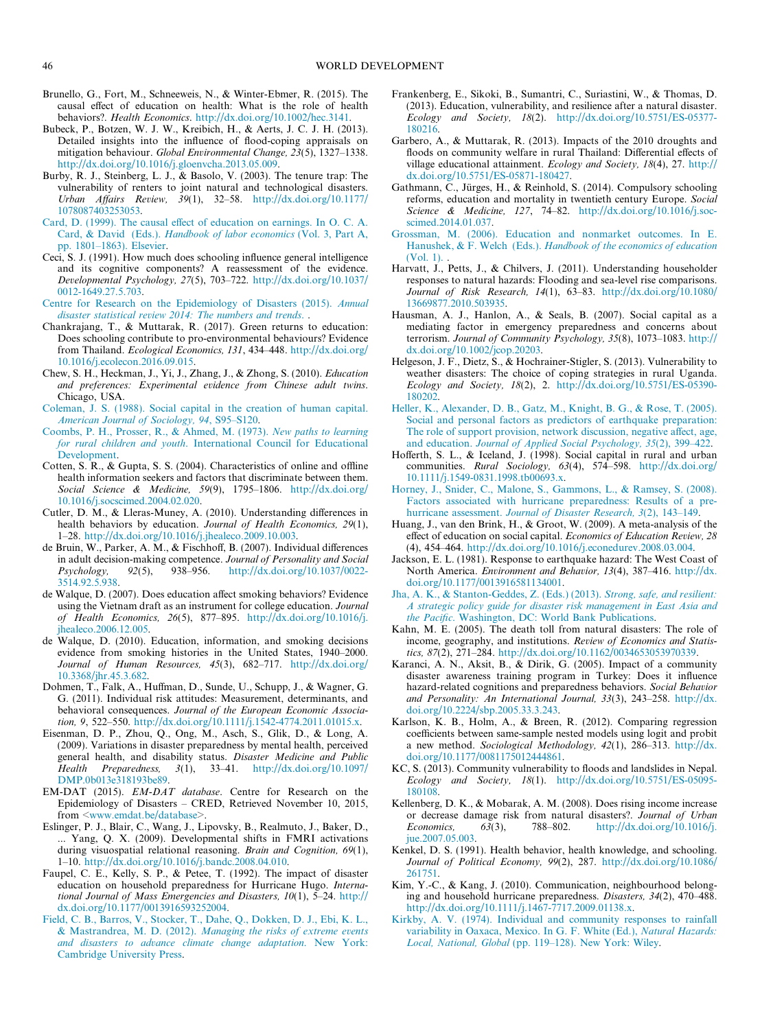- <span id="page-14-0"></span>Brunello, G., Fort, M., Schneeweis, N., & Winter-Ebmer, R. (2015). The causal effect of education on health: What is the role of health behaviors?. Health Economics. <http://dx.doi.org/10.1002/hec.3141>.
- Bubeck, P., Botzen, W. J. W., Kreibich, H., & Aerts, J. C. J. H. (2013). Detailed insights into the influence of flood-coping appraisals on mitigation behaviour. Global Environmental Change, 23(5), 1327–1338. [http://dx.doi.org/10.1016/j.gloenvcha.2013.05.009.](http://dx.doi.org/10.1016/j.gloenvcha.2013.05.009)
- Burby, R. J., Steinberg, L. J., & Basolo, V. (2003). The tenure trap: The vulnerability of renters to joint natural and technological disasters. Urban Affairs Review, 39(1), 32–58. [http://dx.doi.org/10.1177/](http://dx.doi.org/10.1177/1078087403253053) [1078087403253053.](http://dx.doi.org/10.1177/1078087403253053)
- [Card, D. \(1999\). The causal effect of education on earnings. In O. C. A.](http://refhub.elsevier.com/S0305-750X(15)31255-9/h0110) Card, & David (Eds.). [Handbook of labor economics](http://refhub.elsevier.com/S0305-750X(15)31255-9/h0110) (Vol. 3, Part A[,](http://refhub.elsevier.com/S0305-750X(15)31255-9/h0110) [pp. 1801–1863\). Elsevier.](http://refhub.elsevier.com/S0305-750X(15)31255-9/h0110)
- Ceci, S. J. (1991). How much does schooling influence general intelligence and its cognitive components? A reassessment of the evidence. Developmental Psychology, 27(5), 703–722. [http://dx.doi.org/10.1037/](http://dx.doi.org/10.1037/0012-1649.27.5.703) [0012-1649.27.5.703](http://dx.doi.org/10.1037/0012-1649.27.5.703).
- [Centre for Research on the Epidemiology of Disasters \(2015\).](http://refhub.elsevier.com/S0305-750X(15)31255-9/h0120) Annual [disaster statistical review 2014: The numbers and trends](http://refhub.elsevier.com/S0305-750X(15)31255-9/h0120)[.](http://refhub.elsevier.com/S0305-750X(15)31255-9/h0120) .
- Chankrajang, T., & Muttarak, R. (2017). Green returns to education: Does schooling contribute to pro-environmental behaviours? Evidence from Thailand. Ecological Economics, 131, 434–448. [http://dx.doi.org/](http://dx.doi.org/10.1016/j.ecolecon.2016.09.015) [10.1016/j.ecolecon.2016.09.015.](http://dx.doi.org/10.1016/j.ecolecon.2016.09.015)
- Chew, S. H., Heckman, J., Yi, J., Zhang, J., & Zhong, S. (2010). Education and preferences: Experimental evidence from Chinese adult twins. Chicago, USA.
- [Coleman, J. S. \(1988\). Social capital in the creation of human capital.](http://refhub.elsevier.com/S0305-750X(15)31255-9/h0135) [American Journal of Sociology, 94](http://refhub.elsevier.com/S0305-750X(15)31255-9/h0135)[, S95–S120.](http://refhub.elsevier.com/S0305-750X(15)31255-9/h0135)
- [Coombs, P. H., Prosser, R., & Ahmed, M. \(1973\).](http://refhub.elsevier.com/S0305-750X(15)31255-9/h0140) New paths to learning [for rural children and youth](http://refhub.elsevier.com/S0305-750X(15)31255-9/h0140)[. International Council for Educational](http://refhub.elsevier.com/S0305-750X(15)31255-9/h0140) [Development.](http://refhub.elsevier.com/S0305-750X(15)31255-9/h0140)
- Cotten, S. R., & Gupta, S. S. (2004). Characteristics of online and offline health information seekers and factors that discriminate between them. Social Science & Medicine, 59(9), 1795–1806. [http://dx.doi.org/](http://dx.doi.org/10.1016/j.socscimed.2004.02.020) [10.1016/j.socscimed.2004.02.020.](http://dx.doi.org/10.1016/j.socscimed.2004.02.020)
- Cutler, D. M., & Lleras-Muney, A. (2010). Understanding differences in health behaviors by education. Journal of Health Economics, 29(1), 1–28. [http://dx.doi.org/10.1016/j.jhealeco.2009.10.003.](http://dx.doi.org/10.1016/j.jhealeco.2009.10.003)
- de Bruin, W., Parker, A. M., & Fischhoff, B. (2007). Individual differences in adult decision-making competence. Journal of Personality and Social Psychology, 92(5), 938–956. [http://dx.doi.org/10.1037/0022-](http://dx.doi.org/10.1037/0022-3514.92.5.938) [3514.92.5.938.](http://dx.doi.org/10.1037/0022-3514.92.5.938)
- de Walque, D. (2007). Does education affect smoking behaviors? Evidence using the Vietnam draft as an instrument for college education. Journal of Health Economics, 26(5), 877–895. [http://dx.doi.org/10.1016/j.](http://dx.doi.org/10.1016/j.jhealeco.2006.12.005) [jhealeco.2006.12.005](http://dx.doi.org/10.1016/j.jhealeco.2006.12.005).
- de Walque, D. (2010). Education, information, and smoking decisions evidence from smoking histories in the United States, 1940–2000. Journal of Human Resources, 45(3), 682–717. [http://dx.doi.org/](http://dx.doi.org/10.3368/jhr.45.3.682) [10.3368/jhr.45.3.682](http://dx.doi.org/10.3368/jhr.45.3.682).
- Dohmen, T., Falk, A., Huffman, D., Sunde, U., Schupp, J., & Wagner, G. G. (2011). Individual risk attitudes: Measurement, determinants, and behavioral consequences. Journal of the European Economic Association, 9, 522–550. <http://dx.doi.org/10.1111/j.1542-4774.2011.01015.x>.
- Eisenman, D. P., Zhou, Q., Ong, M., Asch, S., Glik, D., & Long, A. (2009). Variations in disaster preparedness by mental health, perceived general health, and disability status. Disaster Medicine and Public Health Preparedness, 3(1), 33–41. [http://dx.doi.org/10.1097/](http://dx.doi.org/10.1097/DMP.0b013e318193be89) [DMP.0b013e318193be89](http://dx.doi.org/10.1097/DMP.0b013e318193be89).
- EM-DAT (2015). EM-DAT database. Centre for Research on the Epidemiology of Disasters – CRED, Retrieved November 10, 2015, from <[www.emdat.be/database](http://www.emdat.be/database)>.
- Eslinger, P. J., Blair, C., Wang, J., Lipovsky, B., Realmuto, J., Baker, D., ... Yang, Q. X. (2009). Developmental shifts in FMRI activations during visuospatial relational reasoning. Brain and Cognition, 69(1), 1–10. [http://dx.doi.org/10.1016/j.bandc.2008.04.010.](http://dx.doi.org/10.1016/j.bandc.2008.04.010)
- Faupel, C. E., Kelly, S. P., & Petee, T. (1992). The impact of disaster education on household preparedness for Hurricane Hugo. International Journal of Mass Emergencies and Disasters, 10(1), 5–24. [http://](http://dx.doi.org/10.1177/0013916593252004) [dx.doi.org/10.1177/0013916593252004.](http://dx.doi.org/10.1177/0013916593252004)
- [Field, C. B., Barros, V., Stocker, T., Dahe, Q., Dokken, D. J., Ebi, K. L.,](http://refhub.elsevier.com/S0305-750X(15)31255-9/h0200) & Mastrandrea, M. D. (2012). [Managing the risks of extreme events](http://refhub.elsevier.com/S0305-750X(15)31255-9/h0200) [and disasters to advance climate change adaptation](http://refhub.elsevier.com/S0305-750X(15)31255-9/h0200)[. New York:](http://refhub.elsevier.com/S0305-750X(15)31255-9/h0200) [Cambridge University Press](http://refhub.elsevier.com/S0305-750X(15)31255-9/h0200).
- Frankenberg, E., Sikoki, B., Sumantri, C., Suriastini, W., & Thomas, D. (2013). Education, vulnerability, and resilience after a natural disaster. Ecology and Society, 18(2). [http://dx.doi.org/10.5751/ES-05377-](http://dx.doi.org/10.5751/ES-05377-180216) [180216](http://dx.doi.org/10.5751/ES-05377-180216).
- Garbero, A., & Muttarak, R. (2013). Impacts of the 2010 droughts and floods on community welfare in rural Thailand: Differential effects of village educational attainment. Ecology and Society, 18(4), 27. [http://](http://dx.doi.org/10.5751/ES-05871-180427) [dx.doi.org/10.5751/ES-05871-180427.](http://dx.doi.org/10.5751/ES-05871-180427)
- Gathmann, C., Jürges, H., & Reinhold, S. (2014). Compulsory schooling reforms, education and mortality in twentieth century Europe. Social Science & Medicine, 127, 74–82. [http://dx.doi.org/10.1016/j.soc](http://dx.doi.org/10.1016/j.socscimed.2014.01.037)[scimed.2014.01.037.](http://dx.doi.org/10.1016/j.socscimed.2014.01.037)
- [Grossman, M. \(2006\). Education and nonmarket outcomes. In E.](http://refhub.elsevier.com/S0305-750X(15)31255-9/h0220) Hanushek, & F. Welch (Eds.). [Handbook of the economics of education](http://refhub.elsevier.com/S0305-750X(15)31255-9/h0220) [\(Vol. 1\).](http://refhub.elsevier.com/S0305-750X(15)31255-9/h0220) .
- Harvatt, J., Petts, J., & Chilvers, J. (2011). Understanding householder responses to natural hazards: Flooding and sea-level rise comparisons. Journal of Risk Research, 14(1),  $63-83$ . [http://dx.doi.org/10.1080/](http://dx.doi.org/10.1080/13669877.2010.503935) [13669877.2010.503935](http://dx.doi.org/10.1080/13669877.2010.503935).
- Hausman, A. J., Hanlon, A., & Seals, B. (2007). Social capital as a mediating factor in emergency preparedness and concerns about terrorism. Journal of Community Psychology, 35(8), 1073–1083. [http://](http://dx.doi.org/10.1002/jcop.20203) [dx.doi.org/10.1002/jcop.20203.](http://dx.doi.org/10.1002/jcop.20203)
- Helgeson, J. F., Dietz, S., & Hochrainer-Stigler, S. (2013). Vulnerability to weather disasters: The choice of coping strategies in rural Uganda. Ecology and Society, 18(2), 2. [http://dx.doi.org/10.5751/ES-05390-](http://dx.doi.org/10.5751/ES-05390-180202) [180202](http://dx.doi.org/10.5751/ES-05390-180202).
- [Heller, K., Alexander, D. B., Gatz, M., Knight, B. G., & Rose, T. \(2005\).](http://refhub.elsevier.com/S0305-750X(15)31255-9/h0240) [Social and personal factors as predictors of earthquake preparation:](http://refhub.elsevier.com/S0305-750X(15)31255-9/h0240) [The role of support provision, network discussion, negative affect, age,](http://refhub.elsevier.com/S0305-750X(15)31255-9/h0240) and education. [Journal of Applied Social Psychology, 35](http://refhub.elsevier.com/S0305-750X(15)31255-9/h0240)(2)[, 399–422.](http://refhub.elsevier.com/S0305-750X(15)31255-9/h0240)
- Hofferth, S. L., & Iceland, J. (1998). Social capital in rural and urban communities. Rural Sociology, 63(4), 574–598. [http://dx.doi.org/](http://dx.doi.org/10.1111/j.1549-0831.1998.tb00693.x) [10.1111/j.1549-0831.1998.tb00693.x](http://dx.doi.org/10.1111/j.1549-0831.1998.tb00693.x).
- [Horney, J., Snider, C., Malone, S., Gammons, L., & Ramsey, S. \(2008\).](http://refhub.elsevier.com/S0305-750X(15)31255-9/h0250) [Factors associated with hurricane preparedness: Results of a pre-](http://refhub.elsevier.com/S0305-750X(15)31255-9/h0250)hurricane assessment. [Journal of Disaster Research, 3](http://refhub.elsevier.com/S0305-750X(15)31255-9/h0250)(2), 143-149.
- Huang, J., van den Brink, H., & Groot, W. (2009). A meta-analysis of the effect of education on social capital. Economics of Education Review, 28 (4), 454–464. [http://dx.doi.org/10.1016/j.econedurev.2008.03.004.](http://dx.doi.org/10.1016/j.econedurev.2008.03.004)
- Jackson, E. L. (1981). Response to earthquake hazard: The West Coast of North America. Environment and Behavior, 13(4), 387–416. [http://dx.](http://dx.doi.org/10.1177/0013916581134001) [doi.org/10.1177/0013916581134001](http://dx.doi.org/10.1177/0013916581134001).
- [Jha, A. K., & Stanton-Geddes, Z. \(Eds.\) \(2013\).](http://refhub.elsevier.com/S0305-750X(15)31255-9/h0265) Strong, safe, and resilient: [A strategic policy guide for disaster risk management in East Asia and](http://refhub.elsevier.com/S0305-750X(15)31255-9/h0265) [the Pacific](http://refhub.elsevier.com/S0305-750X(15)31255-9/h0265)[. Washington, DC: World Bank Publications.](http://refhub.elsevier.com/S0305-750X(15)31255-9/h0265)
- Kahn, M. E. (2005). The death toll from natural disasters: The role of income, geography, and institutions. Review of Economics and Statistics, 87(2), 271–284. [http://dx.doi.org/10.1162/0034653053970339.](http://dx.doi.org/10.1162/0034653053970339)
- Karanci, A. N., Aksit, B., & Dirik, G. (2005). Impact of a community disaster awareness training program in Turkey: Does it influence hazard-related cognitions and preparedness behaviors. Social Behavior and Personality: An International Journal, 33(3), 243–258. [http://dx.](http://dx.doi.org/10.2224/sbp.2005.33.3.243) [doi.org/10.2224/sbp.2005.33.3.243.](http://dx.doi.org/10.2224/sbp.2005.33.3.243)
- Karlson, K. B., Holm, A., & Breen, R. (2012). Comparing regression coefficients between same-sample nested models using logit and probit a new method. Sociological Methodology, 42(1), 286–313. [http://dx.](http://dx.doi.org/10.1177/0081175012444861) [doi.org/10.1177/0081175012444861](http://dx.doi.org/10.1177/0081175012444861).
- KC, S. (2013). Community vulnerability to floods and landslides in Nepal. Ecology and Society, 18(1). [http://dx.doi.org/10.5751/ES-05095-](http://dx.doi.org/10.5751/ES-05095-180108) [180108](http://dx.doi.org/10.5751/ES-05095-180108).
- Kellenberg, D. K., & Mobarak, A. M. (2008). Does rising income increase or decrease damage risk from natural disasters?. Journal of Urban Economics,  $63(3)$ ,  $788-802$ . http://dx.doi.org/10.1016/j. [http://dx.doi.org/10.1016/j.](http://dx.doi.org/10.1016/j.jue.2007.05.003) [jue.2007.05.003.](http://dx.doi.org/10.1016/j.jue.2007.05.003)
- Kenkel, D. S. (1991). Health behavior, health knowledge, and schooling. Journal of Political Economy, 99(2), 287. [http://dx.doi.org/10.1086/](http://dx.doi.org/10.1086/261751) [261751](http://dx.doi.org/10.1086/261751).
- Kim, Y.-C., & Kang, J. (2010). Communication, neighbourhood belonging and household hurricane preparedness. Disasters, 34(2), 470–488. <http://dx.doi.org/10.1111/j.1467-7717.2009.01138.x>.
- [Kirkby, A. V. \(1974\). Individual and community responses to rainfall](http://refhub.elsevier.com/S0305-750X(15)31255-9/h0305) [variability in Oaxaca, Mexico. In G. F. White \(Ed.\),](http://refhub.elsevier.com/S0305-750X(15)31255-9/h0305) Natural Hazards: [Local, National, Global](http://refhub.elsevier.com/S0305-750X(15)31255-9/h0305) [\(pp. 119–128\). New York: Wiley.](http://refhub.elsevier.com/S0305-750X(15)31255-9/h0305)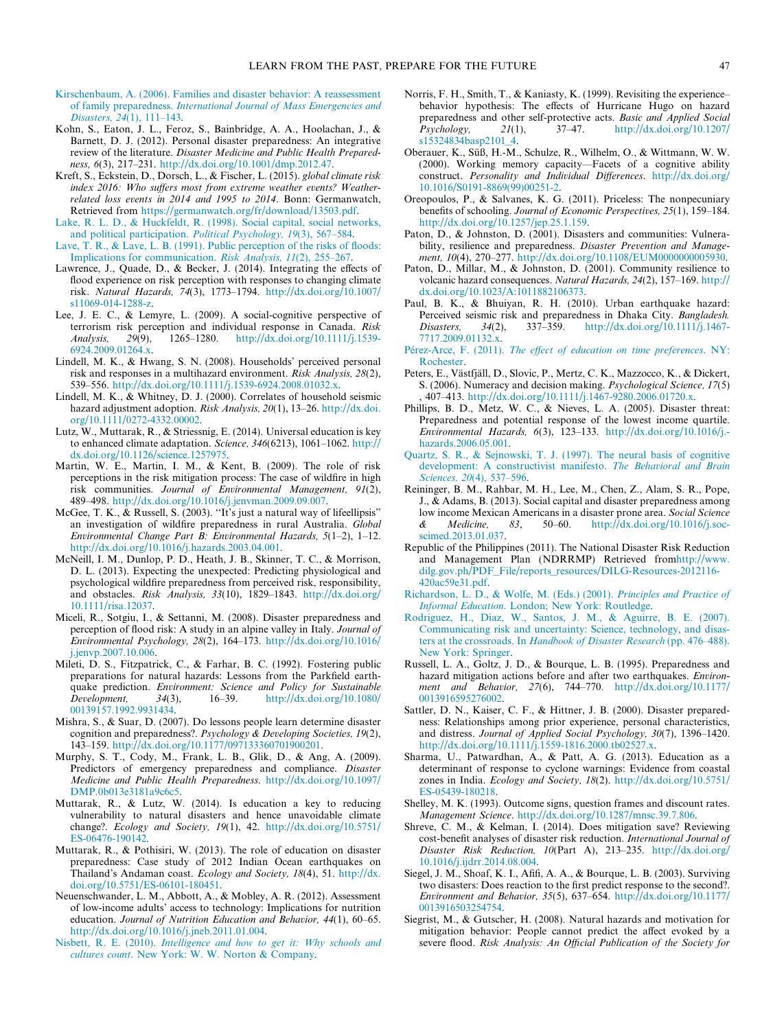- <span id="page-15-0"></span>[Kirschenbaum, A. \(2006\). Families and disaster behavior: A reassessment](http://refhub.elsevier.com/S0305-750X(15)31255-9/h0310) of family preparedness. [International Journal of Mass Emergencies and](http://refhub.elsevier.com/S0305-750X(15)31255-9/h0310) [Disasters, 24](http://refhub.elsevier.com/S0305-750X(15)31255-9/h0310)(1)[, 111–143](http://refhub.elsevier.com/S0305-750X(15)31255-9/h0310).
- Kohn, S., Eaton, J. L., Feroz, S., Bainbridge, A. A., Hoolachan, J., & Barnett, D. J. (2012). Personal disaster preparedness: An integrative review of the literature. Disaster Medicine and Public Health Preparedness, 6(3), 217–231. [http://dx.doi.org/10.1001/dmp.2012.47.](http://dx.doi.org/10.1001/dmp.2012.47)
- Kreft, S., Eckstein, D., Dorsch, L., & Fischer, L. (2015). global climate risk index 2016: Who suffers most from extreme weather events? Weatherrelated loss events in 2014 and 1995 to 2014. Bonn: Germanwatch, Retrieved from [https://germanwatch.org/fr/download/13503.pdf.](https://germanwatch.org/fr/download/13503.pdf)
- [Lake, R. L. D., & Huckfeldt, R. \(1998\). Social capital, social networks,](http://refhub.elsevier.com/S0305-750X(15)31255-9/h0325) [and political participation.](http://refhub.elsevier.com/S0305-750X(15)31255-9/h0325) Political Psychology, 19(3)[, 567–584](http://refhub.elsevier.com/S0305-750X(15)31255-9/h0325).
- [Lave, T. R., & Lave, L. B. \(1991\). Public perception of the risks of floods:](http://refhub.elsevier.com/S0305-750X(15)31255-9/h0330) [Implications for communication.](http://refhub.elsevier.com/S0305-750X(15)31255-9/h0330) Risk Analysis, 11(2)[, 255–267](http://refhub.elsevier.com/S0305-750X(15)31255-9/h0330).
- Lawrence, J., Quade, D., & Becker, J. (2014). Integrating the effects of flood experience on risk perception with responses to changing climate risk. Natural Hazards, 74(3), 1773–1794. [http://dx.doi.org/10.1007/](http://dx.doi.org/10.1007/s11069-014-1288-z) [s11069-014-1288-z](http://dx.doi.org/10.1007/s11069-014-1288-z).
- Lee, J. E. C., & Lemyre, L. (2009). A social-cognitive perspective of terrorism risk perception and individual response in Canada. Risk Analysis, 29(9), 1265–1280. [http://dx.doi.org/10.1111/j.1539-](http://dx.doi.org/10.1111/j.1539-6924.2009.01264.x) [6924.2009.01264.x](http://dx.doi.org/10.1111/j.1539-6924.2009.01264.x).
- Lindell, M. K., & Hwang, S. N. (2008). Households' perceived personal risk and responses in a multihazard environment. Risk Analysis, 28(2), 539–556. [http://dx.doi.org/10.1111/j.1539-6924.2008.01032.x.](http://dx.doi.org/10.1111/j.1539-6924.2008.01032.x)
- Lindell, M. K., & Whitney, D. J. (2000). Correlates of household seismic hazard adjustment adoption. Risk Analysis, 20(1), 13–26. [http://dx.doi.](http://dx.doi.org/10.1111/0272-4332.00002) [org/10.1111/0272-4332.00002.](http://dx.doi.org/10.1111/0272-4332.00002)
- Lutz, W., Muttarak, R., & Striessnig, E. (2014). Universal education is key to enhanced climate adaptation. Science, 346(6213), 1061–1062. [http://](http://dx.doi.org/10.1126/science.1257975) [dx.doi.org/10.1126/science.1257975](http://dx.doi.org/10.1126/science.1257975).
- Martin, W. E., Martin, I. M., & Kent, B. (2009). The role of risk perceptions in the risk mitigation process: The case of wildfire in high risk communities. Journal of Environmental Management, 91(2), 489–498. [http://dx.doi.org/10.1016/j.jenvman.2009.09.007.](http://dx.doi.org/10.1016/j.jenvman.2009.09.007)
- McGee, T. K., & Russell, S. (2003). "It's just a natural way of lifeellipsis" an investigation of wildfire preparedness in rural Australia. Global Environmental Change Part  $\overline{B}$ : Environmental Hazards, 5(1–2), 1–12. [http://dx.doi.org/10.1016/j.hazards.2003.04.001.](http://dx.doi.org/10.1016/j.hazards.2003.04.001)
- McNeill, I. M., Dunlop, P. D., Heath, J. B., Skinner, T. C., & Morrison, D. L. (2013). Expecting the unexpected: Predicting physiological and psychological wildfire preparedness from perceived risk, responsibility, and obstacles. Risk Analysis, 33(10), 1829-1843. [http://dx.doi.org/](http://dx.doi.org/10.1111/risa.12037) [10.1111/risa.12037](http://dx.doi.org/10.1111/risa.12037).
- Miceli, R., Sotgiu, I., & Settanni, M. (2008). Disaster preparedness and perception of flood risk: A study in an alpine valley in Italy. Journal of Environmental Psychology, 28(2), 164-173. [http://dx.doi.org/10.1016/](http://dx.doi.org/10.1016/j.jenvp.2007.10.006) [j.jenvp.2007.10.006](http://dx.doi.org/10.1016/j.jenvp.2007.10.006).
- Mileti, D. S., Fitzpatrick, C., & Farhar, B. C. (1992). Fostering public preparations for natural hazards: Lessons from the Parkfield earthquake prediction. *Environment:* Science and Policy for Sustainable<br>Development, 34(3), 16–39. http://dx.doi.org/10.1080/ Development, 34(3), 16–39. [http://dx.doi.org/10.1080/](http://dx.doi.org/10.1080/00139157.1992.9931434) [00139157.1992.9931434.](http://dx.doi.org/10.1080/00139157.1992.9931434)
- Mishra, S., & Suar, D. (2007). Do lessons people learn determine disaster cognition and preparedness?. Psychology & Developing Societies, 19(2), 143–159. <http://dx.doi.org/10.1177/097133360701900201>.
- Murphy, S. T., Cody, M., Frank, L. B., Glik, D., & Ang, A. (2009). Predictors of emergency preparedness and compliance. Disaster Medicine and Public Health Preparedness. [http://dx.doi.org/10.1097/](http://dx.doi.org/10.1097/DMP.0b013e3181a9c6c5) [DMP.0b013e3181a9c6c5.](http://dx.doi.org/10.1097/DMP.0b013e3181a9c6c5)
- Muttarak, R., & Lutz, W. (2014). Is education a key to reducing vulnerability to natural disasters and hence unavoidable climate change?. Ecology and Society, 19(1), 42. [http://dx.doi.org/10.5751/](http://dx.doi.org/10.5751/ES-06476-190142) [ES-06476-190142.](http://dx.doi.org/10.5751/ES-06476-190142)
- Muttarak, R., & Pothisiri, W. (2013). The role of education on disaster preparedness: Case study of 2012 Indian Ocean earthquakes on Thailand's Andaman coast. Ecology and Society, 18(4), 51. [http://dx.](http://dx.doi.org/10.5751/ES-06101-180451) [doi.org/10.5751/ES-06101-180451](http://dx.doi.org/10.5751/ES-06101-180451).
- Neuenschwander, L. M., Abbott, A., & Mobley, A. R. (2012). Assessment of low-income adults' access to technology: Implications for nutrition education. Journal of Nutrition Education and Behavior, 44(1), 60-65. [http://dx.doi.org/10.1016/j.jneb.2011.01.004.](http://dx.doi.org/10.1016/j.jneb.2011.01.004)
- Nisbett, R. E. (2010). [Intelligence and how to get it: Why schools and](http://refhub.elsevier.com/S0305-750X(15)31255-9/h0410) [cultures count](http://refhub.elsevier.com/S0305-750X(15)31255-9/h0410)[. New York: W. W. Norton & Company](http://refhub.elsevier.com/S0305-750X(15)31255-9/h0410).
- Norris, F. H., Smith, T., & Kaniasty, K. (1999). Revisiting the experience– behavior hypothesis: The effects of Hurricane Hugo on hazard preparedness and other self-protective acts. *Basic and Applied Social Psychology*,  $2I(1)$ ,  $37-47$ . http://dx.doi.org/10.1207/ Psychology, 21(1), 37–47. [http://dx.doi.org/10.1207/](http://dx.doi.org/10.1207/s15324834basp2101_4) [s15324834basp2101\\_4.](http://dx.doi.org/10.1207/s15324834basp2101_4)
- Oberauer, K., Süß, H.-M., Schulze, R., Wilhelm, O., & Wittmann, W. W. (2000). Working memory capacity—Facets of a cognitive ability construct. Personality and Individual Differences. [http://dx.doi.org/](http://dx.doi.org/10.1016/S0191-8869(99)00251-2) [10.1016/S0191-8869\(99\)00251-2.](http://dx.doi.org/10.1016/S0191-8869(99)00251-2)
- Oreopoulos, P., & Salvanes, K. G. (2011). Priceless: The nonpecuniary benefits of schooling. Journal of Economic Perspectives, 25(1), 159–184. <http://dx.doi.org/10.1257/jep.25.1.159>.
- Paton, D., & Johnston, D. (2001). Disasters and communities: Vulnerability, resilience and preparedness. Disaster Prevention and Management, 10(4), 270–277. [http://dx.doi.org/10.1108/EUM0000000005930.](http://dx.doi.org/10.1108/EUM0000000005930)
- Paton, D., Millar, M., & Johnston, D. (2001). Community resilience to volcanic hazard consequences. Natural Hazards, 24(2), 157–169. [http://](http://dx.doi.org/10.1023/A:1011882106373) [dx.doi.org/10.1023/A:1011882106373.](http://dx.doi.org/10.1023/A:1011882106373)
- Paul, B. K., & Bhuiyan, R. H. (2010). Urban earthquake hazard: Perceived seismic risk and preparedness in Dhaka City. Bangladesh.<br>Disasters. 34(2). 337–359. http://dx.doi.org/10.1111/j.1467-Disasters, 34(2), 337–359. [http://dx.doi.org/10.1111/j.1467-](http://dx.doi.org/10.1111/j.1467-7717.2009.01132.x) [7717.2009.01132.x](http://dx.doi.org/10.1111/j.1467-7717.2009.01132.x).
- Pérez-Arce, F. (2011). [The effect of education on time preferences](http://refhub.elsevier.com/S0305-750X(15)31255-9/h0445)[. NY:](http://refhub.elsevier.com/S0305-750X(15)31255-9/h0445) [Rochester](http://refhub.elsevier.com/S0305-750X(15)31255-9/h0445).
- Peters, E., Västfjäll, D., Slovic, P., Mertz, C. K., Mazzocco, K., & Dickert, S. (2006). Numeracy and decision making. Psychological Science, 17(5) , 407–413. <http://dx.doi.org/10.1111/j.1467-9280.2006.01720.x>.
- Phillips, B. D., Metz, W. C., & Nieves, L. A. (2005). Disaster threat: Preparedness and potential response of the lowest income quartile. Environmental Hazards, 6(3), 123–133. [http://dx.doi.org/10.1016/j.](http://dx.doi.org/10.1016/j.hazards.2006.05.001) [hazards.2006.05.001.](http://dx.doi.org/10.1016/j.hazards.2006.05.001)
- [Quartz, S. R., & Sejnowski, T. J. \(1997\). The neural basis of cognitive](http://refhub.elsevier.com/S0305-750X(15)31255-9/h0460) [development: A constructivist manifesto.](http://refhub.elsevier.com/S0305-750X(15)31255-9/h0460) The Behavioral and Brain [Sciences, 20](http://refhub.elsevier.com/S0305-750X(15)31255-9/h0460)(4[\), 537–596.](http://refhub.elsevier.com/S0305-750X(15)31255-9/h0460)
- Reininger, B. M., Rahbar, M. H., Lee, M., Chen, Z., Alam, S. R., Pope, J., & Adams, B. (2013). Social capital and disaster preparedness among low income Mexican Americans in a disaster prone area. Social Science  $\&$  Medicine, 83, 50–60. http://dx.doi.org/10.1016/j.soc- $\hbar$ ttp://dx.doi.org/10.1016/j.soc[scimed.2013.01.037](http://dx.doi.org/10.1016/j.socscimed.2013.01.037).
- Republic of the Philippines (2011). The National Disaster Risk Reduction and Management Plan (NDRRMP) Retrieved fro[mhttp://www.](http://www.dilg.gov.ph/PDF_File/reports_resources/DILG-Resources-2012116-420ac59e31.pdf) [dilg.gov.ph/PDF\\_File/reports\\_resources/DILG-Resources-2012116-](http://www.dilg.gov.ph/PDF_File/reports_resources/DILG-Resources-2012116-420ac59e31.pdf) [420ac59e31.pdf](http://www.dilg.gov.ph/PDF_File/reports_resources/DILG-Resources-2012116-420ac59e31.pdf).
- [Richardson, L. D., & Wolfe, M. \(Eds.\) \(2001\).](http://refhub.elsevier.com/S0305-750X(15)31255-9/h0475) Principles and Practice of [Informal Education](http://refhub.elsevier.com/S0305-750X(15)31255-9/h0475)[. London; New York: Routledge](http://refhub.elsevier.com/S0305-750X(15)31255-9/h0475).
- [Rodriguez, H., Diaz, W., Santos, J. M., & Aguirre, B. E. \(2007\).](http://refhub.elsevier.com/S0305-750X(15)31255-9/h0480) [Communicating risk and uncertainty: Science, technology, and disas](http://refhub.elsevier.com/S0305-750X(15)31255-9/h0480)ters at the crossroads. In [Handbook of Disaster Research](http://refhub.elsevier.com/S0305-750X(15)31255-9/h0480) [\(pp. 476–488\).](http://refhub.elsevier.com/S0305-750X(15)31255-9/h0480) [New York: Springer](http://refhub.elsevier.com/S0305-750X(15)31255-9/h0480).
- Russell, L. A., Goltz, J. D., & Bourque, L. B. (1995). Preparedness and hazard mitigation actions before and after two earthquakes. Environment and Behavior, 27(6), 744–770. [http://dx.doi.org/10.1177/](http://dx.doi.org/10.1177/0013916595276002) [0013916595276002.](http://dx.doi.org/10.1177/0013916595276002)
- Sattler, D. N., Kaiser, C. F., & Hittner, J. B. (2000). Disaster preparedness: Relationships among prior experience, personal characteristics, and distress. Journal of Applied Social Psychology, 30(7), 1396–1420. [http://dx.doi.org/10.1111/j.1559-1816.2000.tb02527.x.](http://dx.doi.org/10.1111/j.1559-1816.2000.tb02527.x)
- Sharma, U., Patwardhan, A., & Patt, A. G. (2013). Education as a determinant of response to cyclone warnings: Evidence from coastal zones in India. Ecology and Society, 18(2). [http://dx.doi.org/10.5751/](http://dx.doi.org/10.5751/ES-05439-180218) [ES-05439-180218.](http://dx.doi.org/10.5751/ES-05439-180218)
- Shelley, M. K. (1993). Outcome signs, question frames and discount rates. Management Science. <http://dx.doi.org/10.1287/mnsc.39.7.806>.
- Shreve, C. M., & Kelman, I. (2014). Does mitigation save? Reviewing cost-benefit analyses of disaster risk reduction. International Journal of Disaster Risk Reduction, 10(Part A), 213–235. [http://dx.doi.org/](http://dx.doi.org/10.1016/j.ijdrr.2014.08.004) [10.1016/j.ijdrr.2014.08.004](http://dx.doi.org/10.1016/j.ijdrr.2014.08.004).
- Siegel, J. M., Shoaf, K. I., Afifi, A. A., & Bourque, L. B. (2003). Surviving two disasters: Does reaction to the first predict response to the second?. Environment and Behavior, 35(5), 637–654. [http://dx.doi.org/10.1177/](http://dx.doi.org/10.1177/0013916503254754) [0013916503254754.](http://dx.doi.org/10.1177/0013916503254754)
- Siegrist, M., & Gutscher, H. (2008). Natural hazards and motivation for mitigation behavior: People cannot predict the affect evoked by a severe flood. Risk Analysis: An Official Publication of the Society for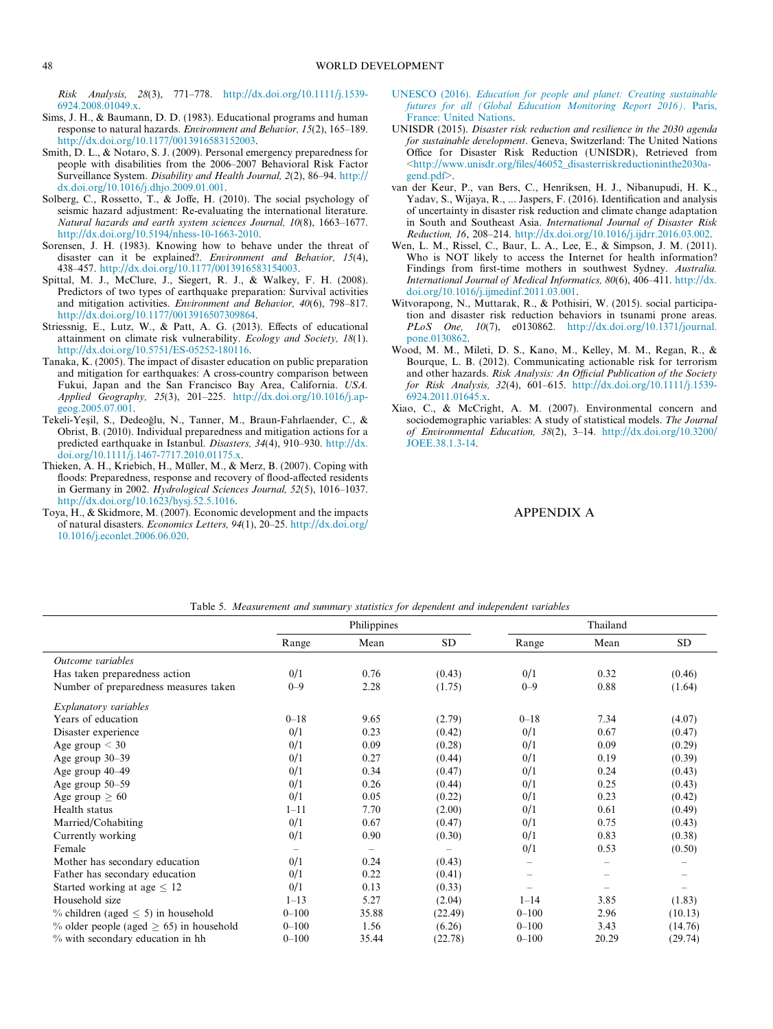<span id="page-16-0"></span>Risk Analysis, 28(3), 771–778. [http://dx.doi.org/10.1111/j.1539-](http://dx.doi.org/10.1111/j.1539-6924.2008.01049.x) [6924.2008.01049.x](http://dx.doi.org/10.1111/j.1539-6924.2008.01049.x).

- Sims, J. H., & Baumann, D. D. (1983). Educational programs and human response to natural hazards. Environment and Behavior, 15(2), 165–189. [http://dx.doi.org/10.1177/0013916583152003.](http://dx.doi.org/10.1177/0013916583152003)
- Smith, D. L., & Notaro, S. J. (2009). Personal emergency preparedness for people with disabilities from the 2006–2007 Behavioral Risk Factor Surveillance System. Disability and Health Journal, 2(2), 86–94. [http://](http://dx.doi.org/10.1016/j.dhjo.2009.01.001) [dx.doi.org/10.1016/j.dhjo.2009.01.001.](http://dx.doi.org/10.1016/j.dhjo.2009.01.001)
- Solberg, C., Rossetto, T., & Joffe, H. (2010). The social psychology of seismic hazard adjustment: Re-evaluating the international literature. Natural hazards and earth system sciences Journal, 10(8), 1663–1677. <http://dx.doi.org/10.5194/nhess-10-1663-2010>.
- Sorensen, J. H. (1983). Knowing how to behave under the threat of disaster can it be explained?. Environment and Behavior, 15(4), 438–457. <http://dx.doi.org/10.1177/0013916583154003>.
- Spittal, M. J., McClure, J., Siegert, R. J., & Walkey, F. H. (2008). Predictors of two types of earthquake preparation: Survival activities and mitigation activities. Environment and Behavior, 40(6), 798–817. [http://dx.doi.org/10.1177/0013916507309864.](http://dx.doi.org/10.1177/0013916507309864)
- Striessnig, E., Lutz, W., & Patt, A. G. (2013). Effects of educational attainment on climate risk vulnerability. Ecology and Society, 18(1). [http://dx.doi.org/10.5751/ES-05252-180116.](http://dx.doi.org/10.5751/ES-05252-180116)
- Tanaka, K. (2005). The impact of disaster education on public preparation and mitigation for earthquakes: A cross-country comparison between Fukui, Japan and the San Francisco Bay Area, California. USA. Applied Geography, 25(3), 201–225. [http://dx.doi.org/10.1016/j.ap](http://dx.doi.org/10.1016/j.apgeog.2005.07.001)[geog.2005.07.001](http://dx.doi.org/10.1016/j.apgeog.2005.07.001).
- Tekeli-Yesil, S., Dedeoǧlu, N., Tanner, M., Braun-Fahrlaender, C., & Obrist, B. (2010). Individual preparedness and mitigation actions for a predicted earthquake in Istanbul. Disasters, 34(4), 910–930. [http://dx.](http://dx.doi.org/10.1111/j.1467-7717.2010.01175.x) [doi.org/10.1111/j.1467-7717.2010.01175.x.](http://dx.doi.org/10.1111/j.1467-7717.2010.01175.x)
- Thieken, A. H., Kriebich, H., Müller, M., & Merz, B. (2007). Coping with floods: Preparedness, response and recovery of flood-affected residents in Germany in 2002. Hydrological Sciences Journal, 52(5), 1016–1037. <http://dx.doi.org/10.1623/hysj.52.5.1016>.
- Toya, H., & Skidmore, M. (2007). Economic development and the impacts of natural disasters. Economics Letters, 94(1), 20–25. [http://dx.doi.org/](http://dx.doi.org/10.1016/j.econlet.2006.06.020) [10.1016/j.econlet.2006.06.020.](http://dx.doi.org/10.1016/j.econlet.2006.06.020)
- UNESCO (2016). [Education for people and planet: Creating sustainable](http://refhub.elsevier.com/S0305-750X(15)31255-9/h9000) [futures for all \(Global Education Monitoring Report 2016\)](http://refhub.elsevier.com/S0305-750X(15)31255-9/h9000)[. Paris,](http://refhub.elsevier.com/S0305-750X(15)31255-9/h9000) [France: United Nations](http://refhub.elsevier.com/S0305-750X(15)31255-9/h9000).
- UNISDR (2015). Disaster risk reduction and resilience in the 2030 agenda for sustainable development. Geneva, Switzerland: The United Nations Office for Disaster Risk Reduction (UNISDR), Retrieved from <[http://www.unisdr.org/files/46052\\_disasterriskreductioninthe2030a](http://www.unisdr.org/files/46052_disasterriskreductioninthe2030agend.pdf)gend ndf>
- van der Keur, P., van Bers, C., Henriksen, H. J., Nibanupudi, H. K., Yadav, S., Wijaya, R., ... Jaspers, F. (2016). Identification and analysis of uncertainty in disaster risk reduction and climate change adaptation in South and Southeast Asia. International Journal of Disaster Risk Reduction, 16, 208–214. <http://dx.doi.org/10.1016/j.ijdrr.2016.03.002>.
- Wen, L. M., Rissel, C., Baur, L. A., Lee, E., & Simpson, J. M. (2011). Who is NOT likely to access the Internet for health information? Findings from first-time mothers in southwest Sydney. Australia. International Journal of Medical Informatics, 80(6), 406–411. [http://dx.](http://dx.doi.org/10.1016/j.ijmedinf.2011.03.001) [doi.org/10.1016/j.ijmedinf.2011.03.001](http://dx.doi.org/10.1016/j.ijmedinf.2011.03.001).
- Witvorapong, N., Muttarak, R., & Pothisiri, W. (2015). social participation and disaster risk reduction behaviors in tsunami prone areas. PLoS One, 10(7), e0130862. [http://dx.doi.org/10.1371/journal.](http://dx.doi.org/10.1371/journal.pone.0130862) [pone.0130862.](http://dx.doi.org/10.1371/journal.pone.0130862)
- Wood, M. M., Mileti, D. S., Kano, M., Kelley, M. M., Regan, R., & Bourque, L. B. (2012). Communicating actionable risk for terrorism and other hazards. Risk Analysis: An Official Publication of the Society for Risk Analysis, 32(4), 601–615. [http://dx.doi.org/10.1111/j.1539-](http://dx.doi.org/10.1111/j.1539-6924.2011.01645.x) [6924.2011.01645.x](http://dx.doi.org/10.1111/j.1539-6924.2011.01645.x).
- Xiao, C., & McCright, A. M. (2007). Environmental concern and sociodemographic variables: A study of statistical models. The Journal of Environmental Education, 38(2), 3–14. [http://dx.doi.org/10.3200/](http://dx.doi.org/10.3200/JOEE.38.1.3-14) [JOEE.38.1.3-14](http://dx.doi.org/10.3200/JOEE.38.1.3-14).

## APPENDIX A

| Table 5. Measurement and summary statistics for dependent and independent variables |  |  |  |  |
|-------------------------------------------------------------------------------------|--|--|--|--|
|                                                                                     |  |  |  |  |

|                                            |           | Philippines |         | Thailand  |                          |         |
|--------------------------------------------|-----------|-------------|---------|-----------|--------------------------|---------|
|                                            | Range     | Mean        | SD      | Range     | Mean                     | SD      |
| Outcome variables                          |           |             |         |           |                          |         |
| Has taken preparedness action              | 0/1       | 0.76        | (0.43)  | 0/1       | 0.32                     | (0.46)  |
| Number of preparedness measures taken      | $0 - 9$   | 2.28        | (1.75)  | $0 - 9$   | 0.88                     | (1.64)  |
| Explanatory variables                      |           |             |         |           |                          |         |
| Years of education                         | $0 - 18$  | 9.65        | (2.79)  | $0 - 18$  | 7.34                     | (4.07)  |
| Disaster experience                        | 0/1       | 0.23        | (0.42)  | 0/1       | 0.67                     | (0.47)  |
| Age group $\leq 30$                        | 0/1       | 0.09        | (0.28)  | 0/1       | 0.09                     | (0.29)  |
| Age group $30-39$                          | 0/1       | 0.27        | (0.44)  | 0/1       | 0.19                     | (0.39)  |
| Age group 40–49                            | 0/1       | 0.34        | (0.47)  | 0/1       | 0.24                     | (0.43)  |
| Age group $50-59$                          | 0/1       | 0.26        | (0.44)  | 0/1       | 0.25                     | (0.43)  |
| Age group $> 60$                           | 0/1       | 0.05        | (0.22)  | 0/1       | 0.23                     | (0.42)  |
| Health status                              | $1 - 11$  | 7.70        | (2.00)  | 0/1       | 0.61                     | (0.49)  |
| Married/Cohabiting                         | 0/1       | 0.67        | (0.47)  | 0/1       | 0.75                     | (0.43)  |
| Currently working                          | 0/1       | 0.90        | (0.30)  | 0/1       | 0.83                     | (0.38)  |
| Female                                     |           | -           |         | 0/1       | 0.53                     | (0.50)  |
| Mother has secondary education             | 0/1       | 0.24        | (0.43)  |           | $\overline{\phantom{0}}$ |         |
| Father has secondary education             | 0/1       | 0.22        | (0.41)  |           |                          |         |
| Started working at age $\leq 12$           | 0/1       | 0.13        | (0.33)  |           |                          |         |
| Household size                             | $1 - 13$  | 5.27        | (2.04)  | $1 - 14$  | 3.85                     | (1.83)  |
| $\%$ children (aged $\lt$ 5) in household  | $0 - 100$ | 35.88       | (22.49) | $0 - 100$ | 2.96                     | (10.13) |
| % older people (aged $> 65$ ) in household | $0 - 100$ | 1.56        | (6.26)  | $0 - 100$ | 3.43                     | (14.76) |
| % with secondary education in hh           | $0 - 100$ | 35.44       | (22.78) | $0 - 100$ | 20.29                    | (29.74) |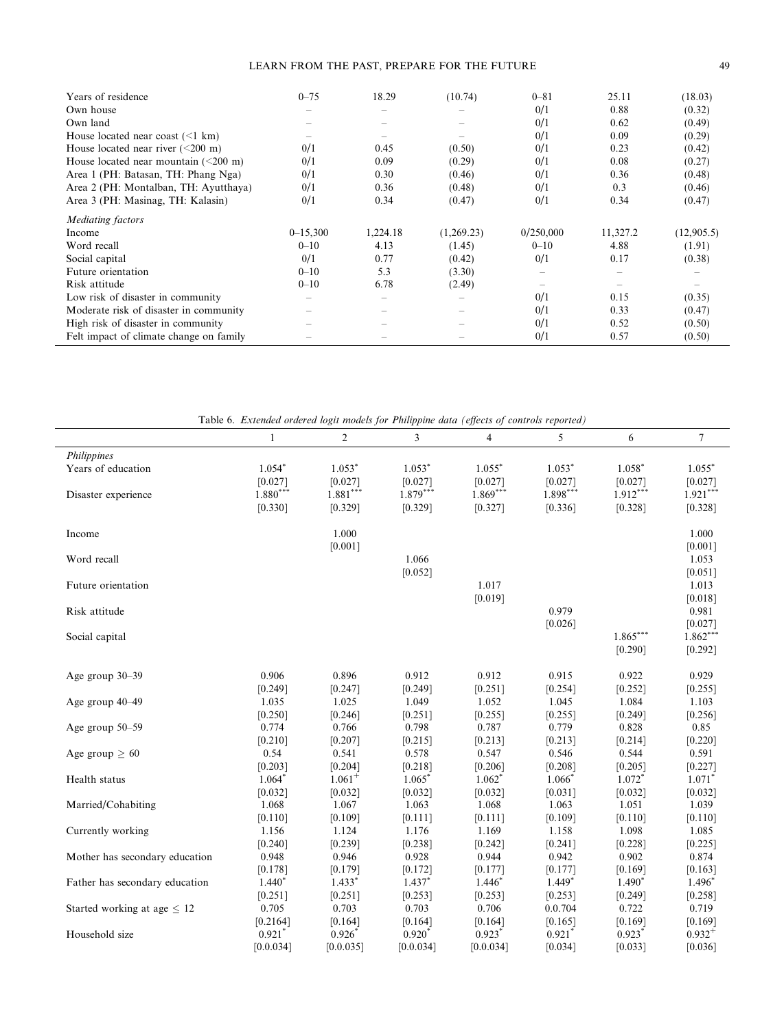# LEARN FROM THE PAST, PREPARE FOR THE FUTURE 49

<span id="page-17-0"></span>

| Years of residence                             | $0 - 75$                              | 18.29             | (10.74)                  | $0 - 81$  | 25.11    | (18.03)    |
|------------------------------------------------|---------------------------------------|-------------------|--------------------------|-----------|----------|------------|
| Own house                                      |                                       |                   |                          | 0/1       | 0.88     | (0.32)     |
| Own land                                       |                                       |                   |                          | 0/1       | 0.62     | (0.49)     |
| House located near coast $(\leq 1 \text{ km})$ |                                       |                   |                          | 0/1       | 0.09     | (0.29)     |
| House located near river $(<200 \text{ m})$    | 0/1                                   | 0.45              | (0.50)                   | 0/1       | 0.23     | (0.42)     |
| House located near mountain $(<200 \text{ m})$ | 0/1                                   | 0.09              | (0.29)                   | 0/1       | 0.08     | (0.27)     |
| Area 1 (PH: Batasan, TH: Phang Nga)            | 0/1                                   | 0.30              | (0.46)                   | 0/1       | 0.36     | (0.48)     |
| Area 2 (PH: Montalban, TH: Ayutthaya)          | 0/1                                   | 0.36              | (0.48)                   | 0/1       | 0.3      | (0.46)     |
| Area 3 (PH: Masinag, TH: Kalasin)              | 0/1                                   | 0.34              | (0.47)                   | 0/1       | 0.34     | (0.47)     |
| Mediating factors                              |                                       |                   |                          |           |          |            |
| Income                                         | $0 - 15,300$                          | 1,224.18          | (1,269.23)               | 0/250,000 | 11,327.2 | (12,905.5) |
| Word recall                                    | $0 - 10$                              | 4.13              | (1.45)                   | $0 - 10$  | 4.88     | (1.91)     |
| Social capital                                 | 0/1                                   | 0.77              | (0.42)                   | 0/1       | 0.17     | (0.38)     |
| Future orientation                             | $0 - 10$                              | 5.3               | (3.30)                   |           |          |            |
| Risk attitude                                  | $0 - 10$                              | 6.78              | (2.49)                   |           |          |            |
| Low risk of disaster in community              | $\hspace{1.0cm} \rule{1.5cm}{0.15cm}$ | $\qquad \qquad -$ | $\overline{\phantom{0}}$ | 0/1       | 0.15     | (0.35)     |
| Moderate risk of disaster in community         |                                       |                   |                          | 0/1       | 0.33     | (0.47)     |
| High risk of disaster in community             |                                       |                   |                          | 0/1       | 0.52     | (0.50)     |
| Felt impact of climate change on family        |                                       |                   |                          | 0/1       | 0.57     | (0.50)     |

|  |  |  |  |  |  | Table 6. Extended ordered logit models for Philippine data (effects of controls reported) |  |  |  |  |  |
|--|--|--|--|--|--|-------------------------------------------------------------------------------------------|--|--|--|--|--|
|--|--|--|--|--|--|-------------------------------------------------------------------------------------------|--|--|--|--|--|

|                                  | $\mathbf{1}$         | $\overline{c}$ | $\overline{3}$ | $\overline{4}$ | 5                    | 6          | $\boldsymbol{7}$ |
|----------------------------------|----------------------|----------------|----------------|----------------|----------------------|------------|------------------|
| Philippines                      |                      |                |                |                |                      |            |                  |
| Years of education               | $1.054*$             | $1.053*$       | $1.053*$       | $1.055*$       | $1.053*$             | $1.058*$   | $1.055*$         |
|                                  | [0.027]              | [0.027]        | [0.027]        | [0.027]        | [0.027]              | [0.027]    | [0.027]          |
| Disaster experience              | $1.880***$           | $1.881***$     | $1.879***$     | $1.869***$     | $1.898***$           | $1.912***$ | $1.921***$       |
|                                  | [0.330]              | [0.329]        | [0.329]        | [0.327]        | [0.336]              | [0.328]    | [0.328]          |
| Income                           |                      | 1.000          |                |                |                      |            | 1.000            |
|                                  |                      | [0.001]        |                |                |                      |            | [0.001]          |
| Word recall                      |                      |                | 1.066          |                |                      |            | 1.053            |
|                                  |                      |                | [0.052]        |                |                      |            | $[0.051]$        |
| Future orientation               |                      |                |                | 1.017          |                      |            | 1.013            |
|                                  |                      |                |                | [0.019]        |                      |            | [0.018]          |
| Risk attitude                    |                      |                |                |                | 0.979                |            | 0.981            |
|                                  |                      |                |                |                | [0.026]              |            | [0.027]          |
| Social capital                   |                      |                |                |                |                      | $1.865***$ | $1.862***$       |
|                                  |                      |                |                |                |                      | [0.290]    | [0.292]          |
| Age group 30-39                  | 0.906                | 0.896          | 0.912          | 0.912          | 0.915                | 0.922      | 0.929            |
|                                  | [0.249]              | [0.247]        | [0.249]        | [0.251]        | [0.254]              | [0.252]    | [0.255]          |
| Age group 40-49                  | 1.035                | 1.025          | 1.049          | 1.052          | 1.045                | 1.084      | 1.103            |
|                                  | [0.250]              | [0.246]        | $[0.251]$      | [0.255]        | $[0.255]$            | [0.249]    | [0.256]          |
| Age group 50-59                  | 0.774                | 0.766          | 0.798          | 0.787          | 0.779                | 0.828      | 0.85             |
|                                  | [0.210]              | [0.207]        | [0.215]        | [0.213]        | [0.213]              | [0.214]    | [0.220]          |
| Age group $> 60$                 | 0.54                 | 0.541          | 0.578          | 0.547          | 0.546                | 0.544      | 0.591            |
|                                  | [0.203]              | [0.204]        | [0.218]        | [0.206]        | [0.208]              | [0.205]    | [0.227]          |
| Health status                    | $1.064*$             | $1.061^{+}$    | $1.065*$       | $1.062*$       | $1.066*$             | $1.072*$   | $1.071*$         |
|                                  | [0.032]              | [0.032]        | [0.032]        | [0.032]        | [0.031]              | [0.032]    | [0.032]          |
| Married/Cohabiting               | 1.068                | 1.067          | 1.063          | 1.068          | 1.063                | 1.051      | 1.039            |
|                                  | [0.110]              | [0.109]        | [0.111]        | [0.111]        | [0.109]              | [0.110]    | [0.110]          |
| Currently working                | 1.156                | 1.124          | 1.176          | 1.169          | 1.158                | 1.098      | 1.085            |
|                                  | [0.240]              | [0.239]        | [0.238]        | [0.242]        | $[0.241]$            | $[0.228]$  | [0.225]          |
| Mother has secondary education   | 0.948                | 0.946          | 0.928          | 0.944          | 0.942                | 0.902      | 0.874            |
|                                  | [0.178]              | [0.179]        | [0.172]        | [0.177]        | [0.177]              | [0.169]    | [0.163]          |
| Father has secondary education   | $1.440*$             | $1.433*$       | $1.437*$       | $1.446*$       | $1.449*$             | $1.490*$   | $1.496*$         |
|                                  | [0.251]              | [0.251]        | [0.253]        | [0.253]        | [0.253]              | [0.249]    | [0.258]          |
| Started working at age $\leq 12$ | 0.705                | 0.703          | 0.703          | 0.706          | 0.0.704              | 0.722      | 0.719            |
|                                  | [0.2164]             | [0.164]        | [0.164]        | [0.164]        | [0.165]              | [0.169]    | [0.169]          |
| Household size                   | $0.921$ <sup>*</sup> | $0.926*$       | $0.920*$       | $0.923*$       | $0.921$ <sup>*</sup> | $0.923*$   | $0.932^{+}$      |
|                                  | [0.0.034]            | [0.0.035]      | [0.0.034]      | [0.0.034]      | [0.034]              | [0.033]    | [0.036]          |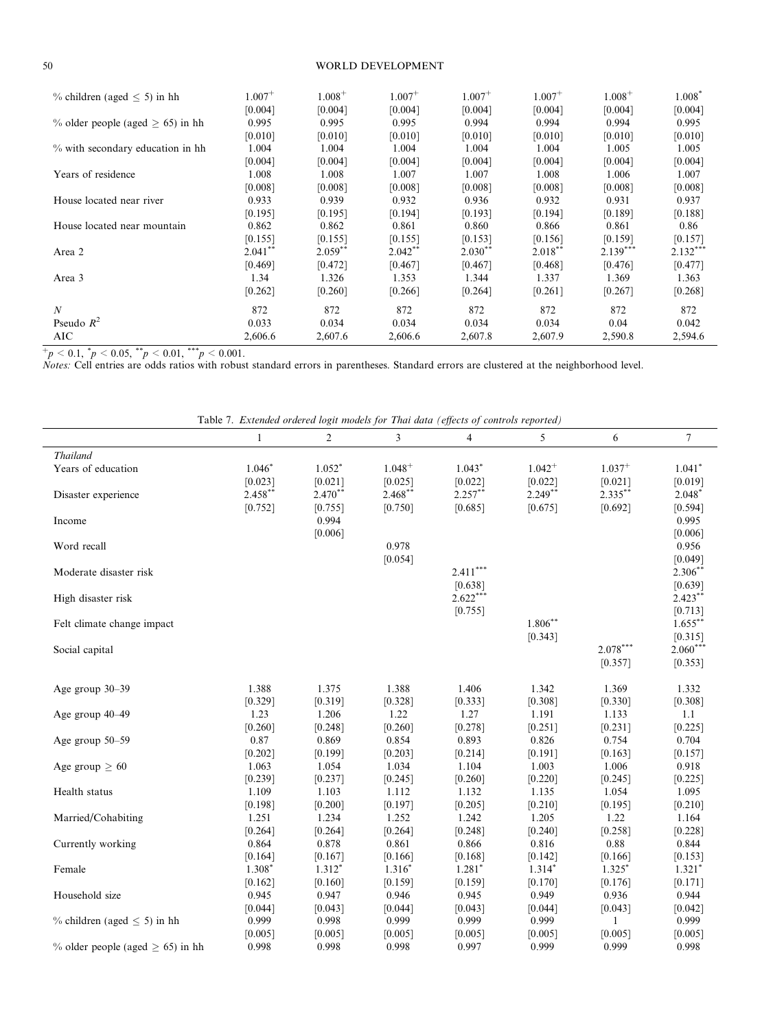# 50 WORLD DEVELOPMENT

| % children (aged $\leq$ 5) in hh    | $1.007^{+}$ | $1.008^{+}$ | $1.007^{+}$           | $1.007^{+}$ | $1.007^{+}$ | $1.008^{+}$ | $1.008^*$  |
|-------------------------------------|-------------|-------------|-----------------------|-------------|-------------|-------------|------------|
|                                     | [0.004]     | [0.004]     | [0.004]               | [0.004]     | [0.004]     | [0.004]     | [0.004]    |
| % older people (aged $> 65$ ) in hh | 0.995       | 0.995       | 0.995                 | 0.994       | 0.994       | 0.994       | 0.995      |
|                                     | [0.010]     | [0.010]     | [0.010]               | [0.010]     | [0.010]     | [0.010]     | [0.010]    |
| % with secondary education in hh    | 1.004       | 1.004       | 1.004                 | 1.004       | 1.004       | 1.005       | 1.005      |
|                                     | [0.004]     | [0.004]     | [0.004]               | [0.004]     | [0.004]     | [0.004]     | [0.004]    |
| Years of residence                  | 1.008       | 1.008       | 1.007                 | 1.007       | 1.008       | 1.006       | 1.007      |
|                                     | [0.008]     | [0.008]     | [0.008]               | [0.008]     | [0.008]     | [0.008]     | [0.008]    |
| House located near river            | 0.933       | 0.939       | 0.932                 | 0.936       | 0.932       | 0.931       | 0.937      |
|                                     | [0.195]     | [0.195]     | [0.194]               | [0.193]     | [0.194]     | [0.189]     | [0.188]    |
| House located near mountain         | 0.862       | 0.862       | 0.861                 | 0.860       | 0.866       | 0.861       | 0.86       |
|                                     | [0.155]     | [0.155]     | [0.155]               | [0.153]     | [0.156]     | [0.159]     | [0.157]    |
| Area 2                              | $2.041***$  | $2.059**$   | $2.042$ <sup>**</sup> | $2.030**$   | $2.018***$  | $2.139***$  | $2.132***$ |
|                                     | [0.469]     | [0.472]     | [0.467]               | [0.467]     | [0.468]     | [0.476]     | [0.477]    |
| Area 3                              | 1.34        | 1.326       | 1.353                 | 1.344       | 1.337       | 1.369       | 1.363      |
|                                     | [0.262]     | [0.260]     | [0.266]               | [0.264]     | [0.261]     | [0.267]     | [0.268]    |
| $\boldsymbol{N}$                    | 872         | 872         | 872                   | 872         | 872         | 872         | 872        |
| Pseudo $R^2$                        | 0.033       | 0.034       | 0.034                 | 0.034       | 0.034       | 0.04        | 0.042      |
| AIC                                 | 2,606.6     | 2,607.6     | 2,606.6               | 2,607.8     | 2,607.9     | 2,590.8     | 2,594.6    |

 $^+p < 0.1,\,{}^{\ast}p < 0.05,\,{}^{\ast\ast}p < 0.01,\,{}^{\ast\ast\ast}p < 0.001.$ 

Notes: Cell entries are odds ratios with robust standard errors in parentheses. Standard errors are clustered at the neighborhood level.

Table 7. Extended ordered logit models for Thai data (effects of controls reported)

|                                     | 1          | $\overline{c}$ | 3           | 4          | 5           | 6            | 7          |
|-------------------------------------|------------|----------------|-------------|------------|-------------|--------------|------------|
| <b>Thailand</b>                     |            |                |             |            |             |              |            |
| Years of education                  | $1.046*$   | $1.052*$       | $1.048^{+}$ | $1.043*$   | $1.042^{+}$ | $1.037^{+}$  | $1.041*$   |
|                                     | [0.023]    | [0.021]        | [0.025]     | [0.022]    | [0.022]     | $[0.021]$    | [0.019]    |
| Disaster experience                 | $2.458***$ | $2.470**$      | $2.468***$  | $2.257***$ | $2.249***$  | $2.335***$   | $2.048*$   |
|                                     | [0.752]    | [0.755]        | [0.750]     | [0.685]    | [0.675]     | [0.692]      | [0.594]    |
| Income                              |            | 0.994          |             |            |             |              | 0.995      |
|                                     |            | [0.006]        |             |            |             |              | [0.006]    |
| Word recall                         |            |                | 0.978       |            |             |              | 0.956      |
|                                     |            |                | [0.054]     |            |             |              | [0.049]    |
| Moderate disaster risk              |            |                |             | $2.411***$ |             |              | $2.306***$ |
|                                     |            |                |             | [0.638]    |             |              | [0.639]    |
| High disaster risk                  |            |                |             | $2.622***$ |             |              | $2.423***$ |
|                                     |            |                |             | [0.755]    |             |              | [0.713]    |
| Felt climate change impact          |            |                |             |            | $1.806***$  |              | $1.655***$ |
|                                     |            |                |             |            | [0.343]     |              | [0.315]    |
| Social capital                      |            |                |             |            |             | $2.078***$   | $2.060***$ |
|                                     |            |                |             |            |             | [0.357]      | [0.353]    |
| Age group 30-39                     | 1.388      | 1.375          | 1.388       | 1.406      | 1.342       | 1.369        | 1.332      |
|                                     | [0.329]    | [0.319]        | [0.328]     | [0.333]    | [0.308]     | [0.330]      | [0.308]    |
| Age group 40-49                     | 1.23       | 1.206          | 1.22        | 1.27       | 1.191       | 1.133        | 1.1        |
|                                     | [0.260]    | [0.248]        | [0.260]     | [0.278]    | [0.251]     | [0.231]      | [0.225]    |
| Age group 50-59                     | 0.87       | 0.869          | 0.854       | 0.893      | 0.826       | 0.754        | 0.704      |
|                                     | [0.202]    | [0.199]        | [0.203]     | [0.214]    | [0.191]     | [0.163]      | [0.157]    |
| Age group $\geq 60$                 | 1.063      | 1.054          | 1.034       | 1.104      | 1.003       | 1.006        | 0.918      |
|                                     | [0.239]    | [0.237]        | [0.245]     | [0.260]    | [0.220]     | [0.245]      | [0.225]    |
| Health status                       | 1.109      | 1.103          | 1.112       | 1.132      | 1.135       | 1.054        | 1.095      |
|                                     | [0.198]    | [0.200]        | [0.197]     | [0.205]    | $[0.210]$   | [0.195]      | [0.210]    |
| Married/Cohabiting                  | 1.251      | 1.234          | 1.252       | 1.242      | 1.205       | 1.22         | 1.164      |
|                                     | [0.264]    | [0.264]        | $[0.264]$   | [0.248]    | [0.240]     | [0.258]      | [0.228]    |
| Currently working                   | 0.864      | 0.878          | 0.861       | 0.866      | 0.816       | 0.88         | 0.844      |
|                                     | [0.164]    | [0.167]        | [0.166]     | [0.168]    | [0.142]     | [0.166]      | [0.153]    |
| Female                              | 1.308*     | $1.312*$       | $1.316*$    | $1.281*$   | $1.314*$    | $1.325*$     | $1.321*$   |
|                                     | [0.162]    | [0.160]        | [0.159]     | [0.159]    | [0.170]     | [0.176]      | [0.171]    |
| Household size                      | 0.945      | 0.947          | 0.946       | 0.945      | 0.949       | 0.936        | 0.944      |
|                                     | [0.044]    | [0.043]        | [0.044]     | [0.043]    | [0.044]     | [0.043]      | [0.042]    |
| $\%$ children (aged $\lt$ 5) in hh  | 0.999      | 0.998          | 0.999       | 0.999      | 0.999       | $\mathbf{1}$ | 0.999      |
|                                     | [0.005]    | [0.005]        | [0.005]     | [0.005]    | [0.005]     | [0.005]      | [0.005]    |
| % older people (aged $> 65$ ) in hh | 0.998      | 0.998          | 0.998       | 0.997      | 0.999       | 0.999        | 0.998      |

l,